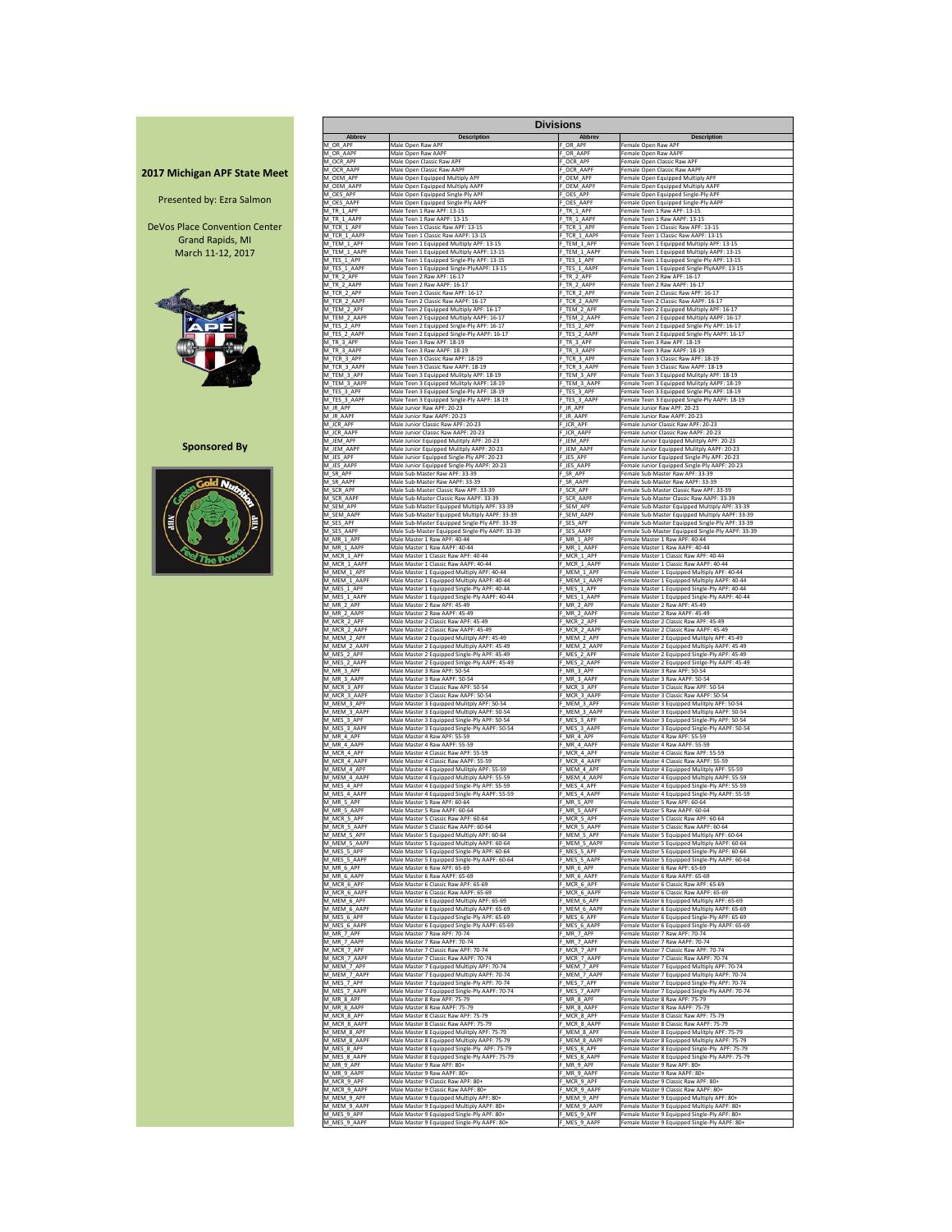|                                     |                             |                                                                                     | <b>Divisions</b>         |                                                                                               |
|-------------------------------------|-----------------------------|-------------------------------------------------------------------------------------|--------------------------|-----------------------------------------------------------------------------------------------|
|                                     | <b>Abbrev</b>               | <b>Description</b>                                                                  | <b>Abbrev</b>            | <b>Description</b>                                                                            |
|                                     | M_OR_APF                    | Male Open Raw APF                                                                   | OR_APF                   | Female Open Raw APF                                                                           |
|                                     | M OR AAPF                   | Male Open Raw AAPF                                                                  | OR AAPF                  | Female Open Raw AAPF                                                                          |
|                                     | M OCR APF                   | Male Open Classic Raw APF                                                           | OCR APF                  | Female Open Classic Raw APF                                                                   |
| <b>2017 Michigan APF State Meet</b> | M OCR AAPF                  | Male Open Classic Raw AAPF                                                          | OCR AAPF                 | Female Open Classic Raw AAPF                                                                  |
|                                     | M OEM APF                   | Male Open Equipped Multiply APF                                                     | OEM APF                  | Female Open Equipped Multiply APF                                                             |
|                                     | M OEM AAPF                  | Male Open Equipped Multiply AAPF                                                    | OEM AAPF                 | Female Open Equipped Multiply AAPF                                                            |
| Presented by: Ezra Salmon           | M OES APF                   | Male Open Equipped Single-Ply APF                                                   | OES APF                  | Female Open Equipped Single-Ply APF                                                           |
|                                     | M OES AAPF                  | Male Open Equipped Single-Ply AAPF                                                  | OES AAPF                 | Female Open Equipped Single-Ply AAPF                                                          |
|                                     | M TR 1 APF                  | Male Teen 1 Raw APF: 13-15                                                          | $F_T$ R $_1$ APF         | Female Teen 1 Raw APF: 13-15                                                                  |
|                                     | M TR 1 AAPF                 | Male Teen 1 Raw AAPF: 13-15                                                         | F TR 1 AAPF              | Female Teen 1 Raw AAPF: 13-15                                                                 |
| DeVos Place Convention Center       | M_TCR_1_APF                 | Male Teen 1 Classic Raw APF: 13-15                                                  | F_TCR_1_APF              | Female Teen 1 Classic Raw APF: 13-15                                                          |
|                                     | M TCR 1 AAPF                | Male Teen 1 Classic Raw AAPF: 13-15                                                 | F TCR 1 AAPF             | Female Teen 1 Classic Raw AAPF: 13-15                                                         |
| <b>Grand Rapids, MI</b>             | M TEM 1 APF                 | Male Teen 1 Equipped Multiply APF: 13-15                                            | F TEM 1 APF              | Female Teen 1 Equipped Multiply APF: 13-15                                                    |
| March 11-12, 2017                   | M_TEM_1_AAPF                | Male Teen 1 Equipped Multiply AAPF: 13-15                                           | TEM_1_AAPF               | Female Teen 1 Equipped Multiply AAPF: 13-15                                                   |
|                                     | M_TES_1_APF                 | Male Teen 1 Equipped Single-Ply APF: 13-15                                          | $-$ TES_1_APF            | Female Teen 1 Equipped Single-Ply APF: 13-15                                                  |
|                                     | M_TES_1_AAPF                | Male Teen 1 Equipped Single-PlyAAPF: 13-15                                          | F_TES_1_AAPF             | Female Teen 1 Equipped Single-PlyAAPF: 13-15                                                  |
|                                     | M TR 2 APF                  | Male Teen 2 Raw APF: 16-17                                                          | F_TR_2_APF               | Female Teen 2 Raw APF: 16-17                                                                  |
|                                     | M TR 2 AAPF                 | Male Teen 2 Raw AAPF: 16-17                                                         | F_TR_2_AAPF              | Female Teen 2 Raw AAPF: 16-17                                                                 |
|                                     | M_TCR_2_APF                 | Male Teen 2 Classic Raw APF: 16-17                                                  | F_TCR_2_APF              | Female Teen 2 Classic Raw APF: 16-17                                                          |
|                                     | M_TCR_2_AAPF                | Male Teen 2 Classic Raw AAPF: 16-17                                                 | F_TCR_2_AAPF             | Female Teen 2 Classic Raw AAPF: 16-17                                                         |
|                                     | M_TEM_2_APF                 | Male Teen 2 Equipped Multiply APF: 16-17                                            | TEM_2_APF                | Female Teen 2 Equipped Multiply APF: 16-17                                                    |
|                                     | M_TEM_2_AAPF                | Male Teen 2 Equipped Multiply AAPF: 16-17                                           | TEM_2_AAPF               | Female Teen 2 Equipped Multiply AAPF: 16-17                                                   |
|                                     | M_TES_2_APF                 | Male Teen 2 Equipped Single-Ply APF: 16-17                                          | F_TES_2_APF              | Female Teen 2 Equipped Single-Ply APF: 16-17                                                  |
|                                     | M_TES_2_AAPF                | Male Teen 2 Equipped Single-Ply AAPF: 16-17                                         | F_TES_2_AAPF             | Female Teen 2 Equipped Single-Ply AAPF: 16-17                                                 |
|                                     | M TR 3 APF                  | Male Teen 3 Raw APF: 18-19                                                          | F TR 3 APF               | Female Teen 3 Raw APF: 18-19                                                                  |
|                                     | M TR 3 AAPF                 | Male Teen 3 Raw AAPF: 18-19                                                         | F TR 3 AAPF              | Female Teen 3 Raw AAPF: 18-19                                                                 |
|                                     | M_TCR_3_APF                 | Male Teen 3 Classic Raw APF: 18-19                                                  | F_TCR_3_APF              | Female Teen 3 Classic Raw APF: 18-19                                                          |
|                                     | M_TCR_3_AAPF                | Male Teen 3 Classic Raw AAPF: 18-19                                                 | F_TCR_3_AAPF             | Female Teen 3 Classic Raw AAPF: 18-19                                                         |
|                                     | M_TEM_3_APF                 | Male Teen 3 Equipped Mulitply APF: 18-19                                            | F_TEM_3_APF              | Female Teen 3 Equipped Mulitply APF: 18-19                                                    |
|                                     | M_TEM_3_AAPF                | Male Teen 3 Equipped Mulitply AAPF: 18-19                                           | F_TEM_3_AAPF             | Female Teen 3 Equipped Mulitply AAPF: 18-19                                                   |
|                                     | M_TES_3_APF                 | Male Teen 3 Equipped Single-Ply APF: 18-19                                          | F TES 3 APF              | Female Teen 3 Equipped Single-Ply APF: 18-19                                                  |
|                                     | M_TES_3_AAPF                | Male Teen 3 Equipped Single-Ply AAPF: 18-19                                         | F_TES_3_AAPF             | Female Teen 3 Equipped Single-Ply AAPF: 18-19                                                 |
|                                     | M JR APF                    | Male Junior Raw APF: 20-23                                                          | F JR APF                 | Female Junior Raw APF: 20-23                                                                  |
|                                     | M_JR_AAPF                   | Male Junior Raw AAPF: 20-23                                                         | F_JR_AAPF                | Female Junior Raw AAPF: 20-23                                                                 |
|                                     | M JCR APF                   | Male Junior Classic Raw APF: 20-23                                                  | F_JCR_APF                | Female Junior Classic Raw APF: 20-23                                                          |
|                                     | M JCR AAPF                  | Male Junior Classic Raw AAPF: 20-23                                                 | F JCR AAPF               | Female Junior Classic Raw AAPF: 20-23                                                         |
| <b>Sponsored By</b>                 | M JEM_APF                   | Male Junior Equipped Mulitply APF: 20-23                                            | <b>JEM APF</b>           | Female Junior Equipped Mulitply APF: 20-23                                                    |
|                                     | M_JEM_AAPF                  | Male Junior Equipped Mulitply AAPF: 20-23                                           | <b>JEM AAPF</b>          | Female Junior Equipped Mulitply AAPF: 20-23                                                   |
|                                     | M_JES_APF                   | Male Junior Equipped Single-Ply APF: 20-23                                          | UES_APF                  | Female Junior Equipped Single-Ply APF: 20-23                                                  |
|                                     | M JES AAPF                  | Male Junior Equipped Single-Ply AAPF: 20-23                                         | JES AAPF                 | Female Junior Equipped Single-Ply AAPF: 20-23                                                 |
|                                     | M SR APF                    | Male Sub-Master Raw APF: 33-39                                                      | SR APF                   | Female Sub-Master Raw APF: 33-39                                                              |
|                                     | M SR AAPF                   | Male Sub-Master Raw AAPF: 33-39                                                     | SR AAPF                  | Female Sub-Master Raw AAPF: 33-39                                                             |
|                                     | M SCR APF                   | Male Sub-Master Classic Raw APF: 33-39                                              | F_SCR_APF                | Female Sub-Master Classic Raw APF: 33-39                                                      |
|                                     | M SCR AAPF                  | Male Sub-Master Classic Raw AAPF: 33-39                                             | SCR AAPF                 | Female Sub-Master Classic Raw AAPF: 33-39                                                     |
|                                     | M SEM APF                   | Male Sub-Master Equipped Multiply APF: 33-39                                        | SEM APF                  | Female Sub-Master Equipped Multiply APF: 33-39                                                |
| <b>ABL</b><br>VIIV                  | M SEM AAPF                  | Male Sub-Master Equipped Multiply AAPF: 33-39                                       | SEM AAPF                 | Female Sub-Master Equipped Multiply AAPF: 33-39                                               |
|                                     | M_SES_APF                   | Male Sub-Master Equipped Single-Ply APF: 33-39                                      | _SES_APF                 | Female Sub-Master Equipped Single-Ply APF: 33-39                                              |
|                                     | M_SES_AAPF                  | Male Sub-Master Equipped Single-Ply AAPF: 33-39                                     | SES_AAPF                 | Female Sub-Master Equipped Single-Ply AAPF: 33-39                                             |
|                                     | M MR 1 APF                  | Male Master 1 Raw APF: 40-44                                                        | $-MR_1$ APF              | Female Master 1 Raw APF: 40-44                                                                |
|                                     | M MR 1 AAPF                 | Male Master 1 Raw AAPF: 40-44                                                       | MR_1_AAPF                | Female Master 1 Raw AAPF: 40-44                                                               |
|                                     | M_MCR_1_APF                 | Male Master 1 Classic Raw APF: 40-44                                                | MCR_1_APF                | Female Master 1 Classic Raw APF: 40-44                                                        |
|                                     | M MCR 1 AAPF                | Male Master 1 Classic Raw AAPF: 40-44                                               | MCR 1 AAPF               | Female Master 1 Classic Raw AAPF: 40-44                                                       |
|                                     | M_MEM_1_APF                 | Male Master 1 Equipped Multiply APF: 40-44                                          | $-MEM_1$ APF             | Female Master 1 Equipped Multiply APF: 40-44                                                  |
|                                     | M MEM 1 AAPF                | Male Master 1 Equipped Multiply AAPF: 40-44                                         | MEM 1 AAPF               | Female Master 1 Equipped Multiply AAPF: 40-44                                                 |
|                                     | M MES 1 APF                 | Male Master 1 Equipped Single-Ply APF: 40-44                                        | $-MES_1$ APF             | Female Master 1 Equipped Single-Ply APF: 40-44                                                |
|                                     | M_MES_1_AAPF                | Male Master 1 Equipped Single-Ply AAPF: 40-44                                       | MES_1_AAPF               | Female Master 1 Equipped Single-Ply AAPF: 40-44                                               |
|                                     | M MR_2_APF                  | Male Master 2 Raw APF: 45-49                                                        | $-$ MR $_2$ APF          | Female Master 2 Raw APF: 45-49                                                                |
|                                     | M MR 2 AAPF                 | Male Master 2 Raw AAPF: 45-49                                                       | MR_2_AAPF                | Female Master 2 Raw AAPF: 45-49                                                               |
|                                     | M_MCR_2_APF                 | Male Master 2 Classic Raw APF: 45-49                                                | $MCR_2APF$               | Female Master 2 Classic Raw APF: 45-49                                                        |
|                                     | M MCR 2 AAPF                | Male Master 2 Classic Raw AAPF: 45-49                                               | MCR 2 AAPF               | Female Master 2 Classic Raw AAPF: 45-49                                                       |
|                                     | M MEM 2 APF                 | Male Master 2 Equipped Mulitply APF: 45-49                                          | F_MEM_2_APF              | Female Master 2 Equipped Mulitply APF: 45-49                                                  |
|                                     | M MEM 2 AAPF                | Male Master 2 Equipped Multiply AAPF: 45-49                                         | MEM 2 AAPF               | Female Master 2 Equipped Multiply AAPF: 45-49                                                 |
|                                     | M MES 2 APF                 | Male Master 2 Equipped Single-Ply APF: 45-49                                        | MES_2_APF                | Female Master 2 Equipped Single-Ply APF: 45-49                                                |
|                                     | M MES 2 AAPF                | Male Master 2 Equipped Sinlge-Ply AAPF: 45-49                                       | MES 2 AAPF               | Female Master 2 Equipped Sinlge-Ply AAPF: 45-49                                               |
|                                     | M_MR_3_APF                  | Male Master 3 Raw APF: 50-54                                                        | $-$ MR_3_APF             | Female Master 3 Raw APF: 50-54                                                                |
|                                     | M MR 3 AAPF                 | Male Master 3 Raw AAPF: 50-54                                                       | $-MR_3$ AAPF             | Female Master 3 Raw AAPF: 50-54                                                               |
|                                     | M_MCR_3_APF                 | Male Master 3 Classic Raw APF: 50-54<br>Male Master 3 Classic Raw AAPF: 50-54       | MCR_3_APF                | Female Master 3 Classic Raw APF: 50-54                                                        |
|                                     | M MCR_3_AAPF<br>M_MEM_3_APF | Male Master 3 Equipped Mulitply APF: 50-54                                          | MCR_3_AAPF<br>MEM_3_APF_ | Female Master 3 Classic Raw AAPF: 50-54<br>Female Master 3 Equipped Mulitply APF: 50-54       |
|                                     | M MEM 3 AAPF                | Male Master 3 Equipped Multiply AAPF: 50-54                                         | MEM 3 AAPF               | Female Master 3 Equipped Multiply AAPF: 50-54                                                 |
|                                     | M_MES_3_APF                 | Male Master 3 Equipped Single-Ply APF: 50-54                                        | MES_3_APF                | Female Master 3 Equipped Single-Ply APF: 50-54                                                |
|                                     | M_MES_3_AAPF                | Male Master 3 Equipped Single-Ply AAPF: 50-54                                       | MES_3_AAPF               | Female Master 3 Equipped Single-Ply AAPF: 50-54                                               |
|                                     | M MR 4 APF                  | Male Master 4 Raw APF: 55-59                                                        | $MR_4$ APF               | Female Master 4 Raw APF: 55-59                                                                |
|                                     | M MR 4 AAPF                 | Male Master 4 Raw AAPF: 55-59                                                       | $-MR_4$ AAPF             | Female Master 4 Raw AAPF: 55-59                                                               |
|                                     | M MCR 4 APF                 | Male Master 4 Classic Raw APF: 55-59                                                | MCR_4_APF                | Female Master 4 Classic Raw APF: 55-59                                                        |
|                                     | M MCR 4 AAPF                | Male Master 4 Classic Raw AAPF: 55-59                                               | F MCR 4 AAPF             | Female Master 4 Classic Raw AAPF: 55-59                                                       |
|                                     | M_MEM_4_APF                 | Male Master 4 Equipped Mulitply APF: 55-59                                          | MEM_4_APF_               | Female Master 4 Equipped Mulitply APF: 55-59                                                  |
|                                     | M MEM 4 AAPF                | Male Master 4 Equipped Multiply AAPF: 55-59                                         | MEM 4 AAPF               | Female Master 4 Equipped Multiply AAPF: 55-59                                                 |
|                                     | M MES 4 APF                 | Male Master 4 Equipped Single-Ply APF: 55-59                                        | MES_4_APF                | Female Master 4 Equipped Single-Ply APF: 55-59                                                |
|                                     | M_MES_4_AAPF                | Male Master 4 Equipped Single-Ply AAPF: 55-59                                       | MES_4_AAPF               | Female Master 4 Equipped Single-Ply AAPF: 55-59                                               |
|                                     | M_MR_5_APF                  | Male Master 5 Raw APF: 60-64                                                        | $-$ MR $-$ 5 $-$ APF     | Female Master 5 Raw APF: 60-64                                                                |
|                                     | M MR 5 AAPF                 | Male Master 5 Raw AAPF: 60-64                                                       | F_MR_5_AAPF              | Female Master 5 Raw AAPF: 60-64                                                               |
|                                     | M_MCR_5_APF                 | Male Master 5 Classic Raw APF: 60-64                                                | MCR_5_APF                | Female Master 5 Classic Raw APF: 60-64                                                        |
|                                     | M_MCR_5_AAPF                | Male Master 5 Classic Raw AAPF: 60-64                                               | MCR_5_AAPF               | Female Master 5 Classic Raw AAPF: 60-64                                                       |
|                                     | M_MEM_5_APF                 | Male Master 5 Equipped Multiply APF: 60-64                                          | MEM_5_APF                | Female Master 5 Equipped Multiply APF: 60-64                                                  |
|                                     | M MEM 5 AAPF                | Male Master 5 Equipped Multiply AAPF: 60-64                                         | MEM 5 AAPF               | Female Master 5 Equipped Multiply AAPF: 60-64                                                 |
|                                     | M MES 5 APF                 | Male Master 5 Equipped Single-Ply APF: 60-64                                        | MES 5 APF                | Female Master 5 Equipped Single-Ply APF: 60-64                                                |
|                                     | M_MES_5_AAPF                | Male Master 5 Equipped Single-Ply AAPF: 60-64                                       | MES_5_AAPF               | Female Master 5 Equipped Single-Ply AAPF: 60-64                                               |
|                                     | M_MR_6_APF                  | Male Master 6 Raw APF: 65-69                                                        | $MR_6$ APF               | Female Master 6 Raw APF: 65-69                                                                |
|                                     | M MR 6 AAPF                 | Male Master 6 Raw AAPF: 65-69                                                       | MR_6_AAPF                | Female Master 6 Raw AAPF: 65-69                                                               |
|                                     | M MCR 6 APF                 | Male Master 6 Classic Raw APF: 65-69                                                | MCR_6_APF                | Female Master 6 Classic Raw APF: 65-69                                                        |
|                                     | M_MCR_6_AAPF                | Male Master 6 Classic Raw AAPF: 65-69                                               | F_MCR_6_AAPF             | Female Master 6 Classic Raw AAPF: 65-69                                                       |
|                                     | M MEM 6 APF                 | Male Master 6 Equipped Multiply APF: 65-69                                          | _MEM_6_APF               | Female Master 6 Equipped Multiply APF: 65-69                                                  |
|                                     | M MEM 6 AAPF                | Male Master 6 Equipped Multiply AAPF: 65-69                                         | MEM 6 AAPF               | Female Master 6 Equipped Multiply AAPF: 65-69                                                 |
|                                     | M MES 6 APF                 | Male Master 6 Equipped Single-Ply APF: 65-69                                        | MES 6 APF                | Female Master 6 Equipped Single-Ply APF: 65-69                                                |
|                                     | M_MES_6_AAPF                | Male Master 6 Equipped Single-Ply AAPF: 65-69                                       | MES 6 AAPF               | Female Master 6 Equipped Single-Ply AAPF: 65-69                                               |
|                                     | M MR 7 APF                  | Male Master 7 Raw APF: 70-74                                                        | MR 7 APF                 | Female Master 7 Raw APF: 70-74                                                                |
|                                     | M MR 7 AAPF                 | Male Master 7 Raw AAPF: 70-74                                                       | MR_7_AAPF                | Female Master 7 Raw AAPF: 70-74                                                               |
|                                     | M MCR 7 APF                 | Male Master 7 Classic Raw APF: 70-74                                                | MCR_7_APF                | Female Master 7 Classic Raw APF: 70-74                                                        |
|                                     | M MCR 7 AAPF<br>M MEM 7 APF | Male Master 7 Classic Raw AAPF: 70-74<br>Male Master 7 Equipped Multiply APF: 70-74 | MCR 7 AAPF<br>MEM 7 APF  | Female Master 7 Classic Raw AAPF: 70-74                                                       |
|                                     | M_MEM_7_AAPF                | Male Master 7 Equipped Multiply AAPF: 70-74                                         | MEM_7_AAPF_              | Female Master 7 Equipped Multiply APF: 70-74<br>Female Master 7 Equipped Multiply AAPF: 70-74 |
|                                     | M MES 7 APF                 | Male Master 7 Equipped Single-Ply APF: 70-74                                        | MES_7_APF_               | Female Master 7 Equipped Single-Ply APF: 70-74                                                |
|                                     | M_MES_7_AAPF                | Male Master 7 Equipped Single-Ply AAPF: 70-74                                       | _MES_7_AAPF              | Female Master 7 Equipped Single-Ply AAPF: 70-74                                               |
|                                     | M MR 8 APF                  | Male Master 8 Raw APF: 75-79                                                        | MR 8 APF                 | Female Master 8 Raw APF: 75-79                                                                |
|                                     | M MR 8 AAPF                 | Male Master 8 Raw AAPF: 75-79                                                       | MR 8 AAPF                | Female Master 8 Raw AAPF: 75-79                                                               |
|                                     | M MCR 8 APF                 | Male Master 8 Classic Raw APF: 75-79                                                | MCR 8 APF                | Female Master 8 Classic Raw APF: 75-79                                                        |
|                                     | M MCR 8 AAPF                | Male Master 8 Classic Raw AAPF: 75-79                                               | MCR_8_AAPF               | Female Master 8 Classic Raw AAPF: 75-79                                                       |
|                                     | M MEM 8 APF                 | Male Master 8 Equipped Mulitply APF: 75-79                                          | MEM 8 APF                | Female Master 8 Equipped Mulitply APF: 75-79                                                  |
|                                     | M MEM 8 AAPF                | Male Master 8 Equipped Multiply AAPF: 75-79                                         | MEM 8 AAPF               | Female Master 8 Equipped Multiply AAPF: 75-79                                                 |
|                                     | M MES 8 APF                 | Male Master 8 Equipped Single-Ply APF: 75-79                                        | MES 8 APF                | Female Master 8 Equipped Single-Ply APF: 75-79                                                |
|                                     | M_MES_8_AAPF                | Male Master 8 Equipped Single-Ply AAPF: 75-79                                       | MES_8_AAPF               | Female Master 8 Equipped Single-Ply AAPF: 75-79                                               |
|                                     | M MR 9 APF                  | Male Master 9 Raw APF: 80+                                                          | F MR 9 APF               | Female Master 9 Raw APF: 80+                                                                  |
|                                     | M MR 9 AAPF                 | Male Master 9 Raw AAPF: 80+                                                         | $-MR_9$ _AAPF            | Female Master 9 Raw AAPF: 80+                                                                 |
|                                     | M MCR 9 APF                 | Male Master 9 Classic Raw APF: 80+                                                  | F MCR 9 APF              | Female Master 9 Classic Raw APF: 80+                                                          |
|                                     | M MCR 9 AAPF                | Male Master 9 Classic Raw AAPF: 80+                                                 | MCR_9_AAPF               | Female Master 9 Classic Raw AAPF: 80+                                                         |
|                                     | M_MEM_9_APF                 | Male Master 9 Equipped Multiply APF: 80+                                            | MEM_9_APF                | Female Master 9 Equipped Multiply APF: 80+                                                    |
|                                     | M MEM 9 AAPF                | Male Master 9 Equipped Multiply AAPF: 80+                                           | MEM 9 AAPF               | Female Master 9 Equipped Multiply AAPF: 80+                                                   |
|                                     | M_MES_9_APF                 | Male Master 9 Equipped Single-Ply APF: 80+                                          | MES_9_APF_               | Female Master 9 Equipped Single-Ply APF: 80+                                                  |
|                                     | M MES 9 AAPF                | Male Master 9 Equipped Single-Ply AAPF: 80+                                         | F_MES_9_AAPF             | Female Master 9 Equipped Single-Ply AAPF: 80+                                                 |

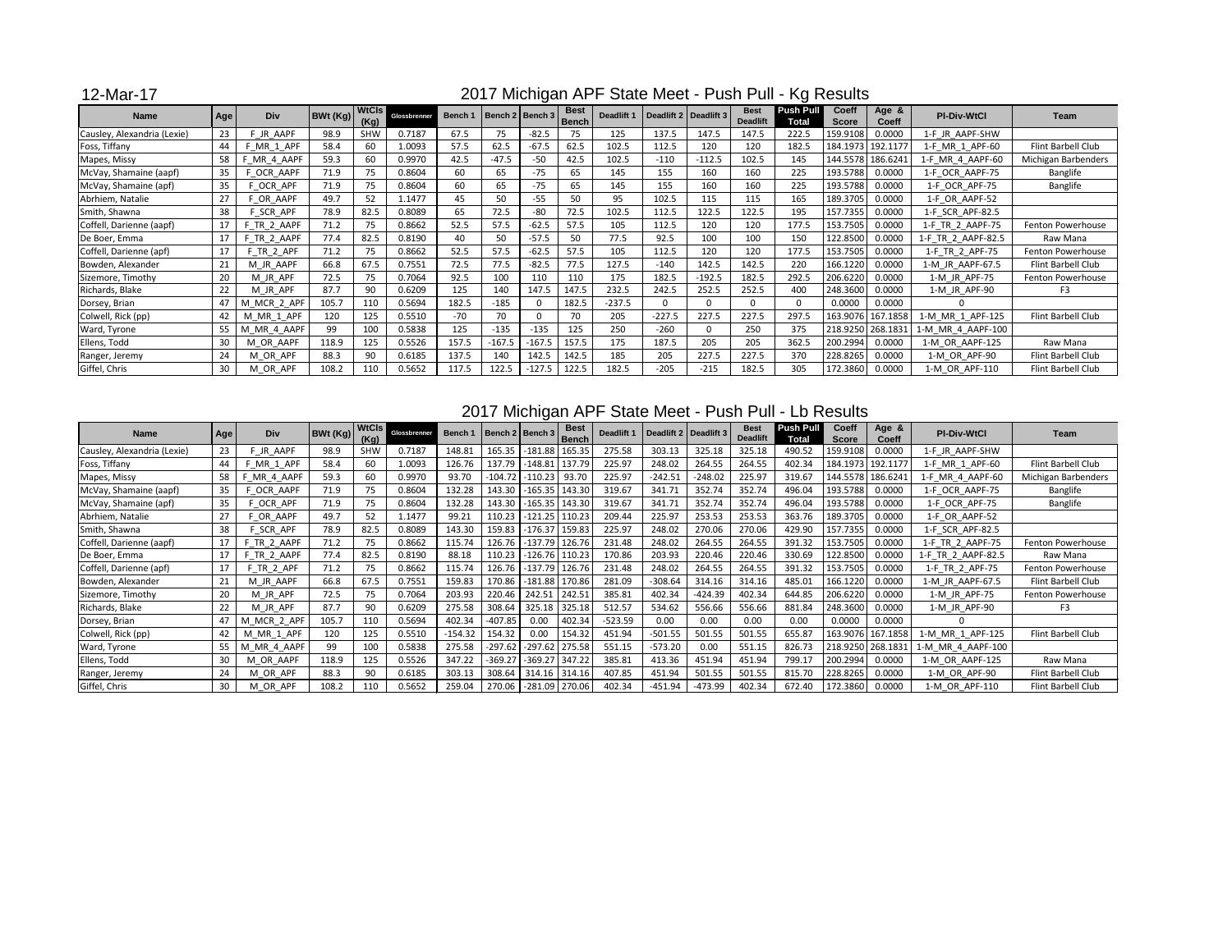## 12-Mar-17

| <b>Name</b>                 | Age | <b>Div</b>     | BWt (Kg) | <b>WtCls</b><br>(Kg) | Glossbrenner | Bench 1 |          | Bench 2   Bench 3 | <b>Best</b><br><b>Bench</b> | <b>Deadlift 1</b> |          | Deadlift 2 Deadlift 3 | <b>Best</b><br><b>Deadlift</b> | <b>Push Pull</b><br><b>Total</b> | <b>Coeff</b><br><b>Score</b> | Age &<br><b>Coeff</b> | <b>PI-Div-WtCl</b> | <b>Team</b>         |
|-----------------------------|-----|----------------|----------|----------------------|--------------|---------|----------|-------------------|-----------------------------|-------------------|----------|-----------------------|--------------------------------|----------------------------------|------------------------------|-----------------------|--------------------|---------------------|
| Causley, Alexandria (Lexie) | 23  | <b>JR AAPF</b> | 98.9     | <b>SHW</b>           | 0.7187       | 67.5    | 75       | $-82.5$           | 75                          | 125               | 137.5    | 147.5                 | 147.5                          | 222.5                            | 159.9108                     | 0.0000                | 1-F JR AAPF-SHW    |                     |
| Foss, Tiffany               | 44  | MR 1 APF       | 58.4     | 60                   | 1.0093       | 57.5    | 62.5     | $-67.5$           | 62.5                        | 102.5             | 112.5    | 120                   | 120                            | 182.5                            |                              | 184.1973 192.1177     | 1-F MR 1 APF-60    | Flint Barbell Club  |
| Mapes, Missy                | 58  | F MR 4 AAPF    | 59.3     | 60                   | 0.9970       | 42.5    | $-47.5$  | $-50$             | 42.5                        | 102.5             | $-110$   | $-112.5$              | 102.5                          | 145                              |                              | 144.5578 186.6241     | 1-F MR 4 AAPF-60   | Michigan Barbenders |
| McVay, Shamaine (aapf)      | 35  | OCR AAPF       | 71.9     | 75                   | 0.8604       | 60      | 65       | $-75$             | 65                          | 145               | 155      | 160                   | 160                            | 225                              | 193.5788                     | 0.0000                | 1-F OCR AAPF-75    | Banglife            |
| McVay, Shamaine (apf)       | 35  | OCR APF        | 71.9     | 75                   | 0.8604       | 60      | 65       | $-75$             | 65                          | 145               | 155      | 160                   | 160                            | 225                              | 193.5788                     | 0.0000                | 1-F OCR APF-75     | Banglife            |
| Abrhiem, Natalie            | 27  | OR AAPF        | 49.7     | 52                   | 1.1477       | 45      | 50       | $-55$             | 50                          | 95                | 102.5    | 115                   | 115                            | 165                              | 189.3705                     | 0.0000                | 1-F OR AAPF-52     |                     |
| Smith, Shawna               | 38  | SCR APF        | 78.9     | 82.5                 | 0.8089       | 65      | 72.5     | $-80$             | 72.5                        | 102.5             | 112.5    | 122.5                 | 122.5                          | 195                              | 157.7355                     | 0.0000                | 1-F SCR APF-82.5   |                     |
| Coffell, Darienne (aapf)    | 17  | F TR 2 AAPF    | 71.2     | 75                   | 0.8662       | 52.5    | 57.5     | $-62.5$           | 57.5                        | 105               | 112.5    | 120                   | 120                            | 177.5                            | 153.7505                     | 0.0000                | 1-F TR 2 AAPF-75   | Fenton Powerhouse   |
| De Boer, Emma               | 17  | F TR 2 AAPF    | 77.4     | 82.5                 | 0.8190       | 40      | 50       | $-57.5$           | 50                          | 77.5              | 92.5     | 100                   | 100                            | 150                              | 122.8500                     | 0.0000                | 1-F_TR_2_AAPF-82.5 | Raw Mana            |
| Coffell, Darienne (apf)     | 17  | TR 2 APF       | 71.2     | 75                   | 0.8662       | 52.5    | 57.5     | $-62.5$           | 57.5                        | 105               | 112.5    | 120                   | 120                            | 177.5                            | 153.7505                     | 0.0000                | 1-F TR 2_APF-75    | Fenton Powerhouse   |
| Bowden, Alexander           | 21  | M JR AAPF      | 66.8     | 67.5                 | 0.7551       | 72.5    | 77.5     | $-82.5$           | 77.5                        | 127.5             | $-140$   | 142.5                 | 142.5                          | 220                              | 166.1220                     | 0.0000                | 1-M JR AAPF-67.5   | Flint Barbell Club  |
| Sizemore, Timothy           | 20  | M JR APF       | 72.5     | 75                   | 0.7064       | 92.5    | 100      | 110               | 110                         | 175               | 182.5    | $-192.5$              | 182.5                          | 292.5                            | 206.6220                     | 0.0000                | 1-M JR APF-75      | Fenton Powerhouse   |
| Richards, Blake             | 22  | M JR APF       | 87.7     | 90                   | 0.6209       | 125     | 140      | 147.5             | 147.5                       | 232.5             | 242.5    | 252.5                 | 252.5                          | 400                              | 248.3600                     | 0.0000                | 1-M JR APF-90      | F3                  |
| Dorsey, Brian               | 47  | M MCR 2 APF    | 105.7    | 110                  | 0.5694       | 182.5   | $-185$   | $\Omega$          | 182.5                       | $-237.5$          |          |                       | $\Omega$                       |                                  | 0.0000                       | 0.0000                | ∩                  |                     |
| Colwell, Rick (pp)          | 42  | M MR 1 APF     | 120      | 125                  | 0.5510       | $-70$   | 70       | $\Omega$          | 70                          | 205               | $-227.5$ | 227.5                 | 227.5                          | 297.5                            | 163.9076                     | 167.1858              | 1-M MR 1 APF-125   | Flint Barbell Club  |
| Ward, Tyrone                | 55  | M MR 4 AAPF    | 99       | 100                  | 0.5838       | 125     | $-135$   | $-135$            | 125                         | 250               | $-260$   | $\Omega$              | 250                            | 375                              | 218.9250 268.1831            |                       | 1-M MR 4 AAPF-100  |                     |
| Ellens, Todd                | 30  | M OR AAPF      | 118.9    | 125                  | 0.5526       | 157.5   | $-167.5$ | $-167.5$          | 157.5                       | 175               | 187.5    | 205                   | 205                            | 362.5                            | 200.2994                     | 0.0000                | 1-M OR AAPF-125    | Raw Mana            |
| Ranger, Jeremy              | 24  | M OR APF       | 88.3     | 90                   | 0.6185       | 137.5   | 140      | 142.5             | 142.5                       | 185               | 205      | 227.5                 | 227.5                          | 370                              | 228.8265                     | 0.0000                | 1-M OR APF-90      | Flint Barbell Club  |
| Giffel, Chris               | 30  | M OR APF       | 108.2    | 110                  | 0.5652       | 117.5   | 122.5    | $-127.5$          | 122.5                       | 182.5             | $-205$   | $-215$                | 182.5                          | 305                              | 172.3860                     | 0.0000                | 1-M OR APF-110     | Flint Barbell Club  |

### 2017 Michigan APF State Meet - Push Pull - Lb Results

| <b>Name</b>                 | Age | <b>Div</b>     | <b>BWt (Kg)</b> | <b>WtCls</b><br>(Kg) | Glossbrenner | <b>Bench 1</b> |           | Bench 2   Bench 3 | <b>Best</b><br><b>Bench</b> | Deadlift 1 | Deadlift 2 Deadlift 3 |           | <b>Best</b><br><b>Deadlift</b> | <b>Push Pull</b><br><b>Total</b> | Coeff<br><b>Score</b> | Age &<br><b>Coeff</b> | <b>PI-Div-WtCl</b> | Team                     |
|-----------------------------|-----|----------------|-----------------|----------------------|--------------|----------------|-----------|-------------------|-----------------------------|------------|-----------------------|-----------|--------------------------------|----------------------------------|-----------------------|-----------------------|--------------------|--------------------------|
| Causley, Alexandria (Lexie) | 23  | F JR AAPF      | 98.9            | <b>SHW</b>           | 0.7187       | 148.81         | 165.35    | $-181.88$         | 165.35                      | 275.58     | 303.13                | 325.18    | 325.18                         | 490.52                           | 159.9108              | 0.0000                | 1-F JR AAPF-SHW    |                          |
| Foss, Tiffany               | 44  | MR 1 APF       | 58.4            | 60                   | 1.0093       | 126.76         | 137.79    | $-148.81$         | 137.79                      | 225.97     | 248.02                | 264.55    | 264.55                         | 402.34                           |                       | 184.1973 192.1177     | 1-F MR 1 APF-60    | Flint Barbell Club       |
| Mapes, Missy                | 58  | 4 AAPF<br>F MR | 59.3            | 60                   | 0.9970       | 93.70          | $-104.72$ | $-110.23$         | 93.70                       | 225.97     | $-242.51$             | $-248.02$ | 225.97                         | 319.67                           | 144.5578              | 186.6241              | 1-F MR 4 AAPF-60   | Michigan Barbenders      |
| McVay, Shamaine (aapf)      | 35  | OCR<br>AAPF    | 71.9            | 75                   | 0.8604       | 132.28         | 143.30    | $-165.35$         | 143.30                      | 319.67     | 341.71                | 352.74    | 352.74                         | 496.04                           | 193.5788              | 0.0000                | 1-F OCR AAPF-75    | Banglife                 |
| McVay, Shamaine (apf)       | 35  | OCR APF        | 71.9            | 75                   | 0.8604       | 132.28         | 143.30    | $-165.35$         | 143.30                      | 319.67     | 341.71                | 352.74    | 352.74                         | 496.04                           | 193.5788              | 0.0000                | 1-F OCR APF-75     | Banglife                 |
| Abrhiem, Natalie            | 27  | OR AAPF        | 49.7            | 52                   | 1.1477       | 99.21          | 110.23    | $-121.25$         | 110.23                      | 209.44     | 225.97                | 253.53    | 253.53                         | 363.76                           | 189.3705              | 0.0000                | 1-F OR AAPF-52     |                          |
| Smith, Shawna               | 38  | SCR APF        | 78.9            | 82.5                 | 0.8089       | 143.30         | 159.83    | $-176.37$         | 159.83                      | 225.97     | 248.02                | 270.06    | 270.06                         | 429.90                           | 157.7355              | 0.0000                | 1-F SCR APF-82.5   |                          |
| Coffell, Darienne (aapf)    | 17  | F TR 2 AAPF    | 71.2            | 75                   | 0.8662       | 115.74         | 126.76    | $-137.79$         | 126.76                      | 231.48     | 248.02                | 264.55    | 264.55                         | 391.32                           | 153.7505              | 0.0000                | 1-F TR 2 AAPF-75   | <b>Fenton Powerhouse</b> |
| De Boer, Emma               |     | F TR 2 AAPF    | 77.4            | 82.5                 | 0.8190       | 88.18          | 110.23    | $-126.76$         | 110.23                      | 170.86     | 203.93                | 220.46    | 220.46                         | 330.69                           | 122.8500              | 0.0000                | 1-F_TR_2_AAPF-82.5 | Raw Mana                 |
| Coffell, Darienne (apf)     | 17  | TR 2 APF       | 71.2            | 75                   | 0.8662       | 115.74         | 126.76    | $-137.79$         | 126.76                      | 231.48     | 248.02                | 264.55    | 264.55                         | 391.32                           | 153.7505              | 0.0000                | 1-F TR 2 APF-75    | Fenton Powerhouse        |
| Bowden, Alexander           | 21  | M JR AAPF      | 66.8            | 67.5                 | 0.7551       | 159.83         | 170.86    | $-181.88$         | 170.86                      | 281.09     | $-308.64$             | 314.16    | 314.16                         | 485.01                           | 166.1220              | 0.0000                | 1-M JR AAPF-67.5   | Flint Barbell Club       |
| Sizemore, Timothy           | 20  | M JR APF       | 72.5            | 75                   | 0.7064       | 203.93         | 220.46    | 242.51            | 242.51                      | 385.81     | 402.34                | -424.39   | 402.34                         | 644.85                           | 206.6220              | 0.0000                | 1-M JR APF-75      | Fenton Powerhouse        |
| Richards, Blake             | 22  | M_JR_APF       | 87.7            | 90                   | 0.6209       | 275.58         | 308.64    | 325.18            | 325.18                      | 512.57     | 534.62                | 556.66    | 556.66                         | 881.84                           | 248.3600              | 0.0000                | 1-M JR APF-90      | F <sub>3</sub>           |
| Dorsey, Brian               | 47  | MCR_2_APF<br>м | 105.7           | 110                  | 0.5694       | 402.34         | $-407.85$ | 0.00              | 402.34                      | $-523.59$  | 0.00                  | 0.00      | 0.00                           | 0.00                             | 0.0000                | 0.0000                |                    |                          |
| Colwell, Rick (pp)          | 42  | MR 1 APF<br>M  | 120             | 125                  | 0.5510       | $-154.32$      | 154.32    | 0.00              | 154.32                      | 451.94     | $-501.55$             | 501.55    | 501.55                         | 655.87                           | 163.9076              | 167.1858              | 1-M MR 1 APF-125   | Flint Barbell Club       |
| Ward, Tyrone                | 55  | M MR 4 AAPF    | 99              | 100                  | 0.5838       | 275.58         | $-297.62$ | $-297.62$         | 275.58                      | 551.15     | $-573.20$             | 0.00      | 551.15                         | 826.73                           | 218.9250              | 268.1831              | 1-M MR 4_AAPF-100  |                          |
| Ellens, Todd                | 30  | M OR AAPF      | 118.9           | 125                  | 0.5526       | 347.22         | $-369.27$ | $-369.27$         | 347.22                      | 385.81     | 413.36                | 451.94    | 451.94                         | 799.17                           | 200.2994              | 0.0000                | 1-M OR AAPF-125    | Raw Mana                 |
| Ranger, Jeremy              | 24  | M OR APF       | 88.3            | 90                   | 0.6185       | 303.13         | 308.64    | 314.16            | 314.16                      | 407.85     | 451.94                | 501.55    | 501.55                         | 815.70                           | 228.8265              | 0.0000                | 1-M OR APF-90      | Flint Barbell Club       |
| Giffel, Chris               | 30  | M OR APF       | 108.2           | 110                  | 0.5652       | 259.04         | 270.06    | $-281.09$         | 270.06                      | 402.34     | $-451.94$             | -473.99   | 402.34                         | 672.40                           | 172.3860              | 0.0000                | 1-M OR APF-110     | Flint Barbell Club       |

## 2017 Michigan APF State Meet - Push Pull - Kg Results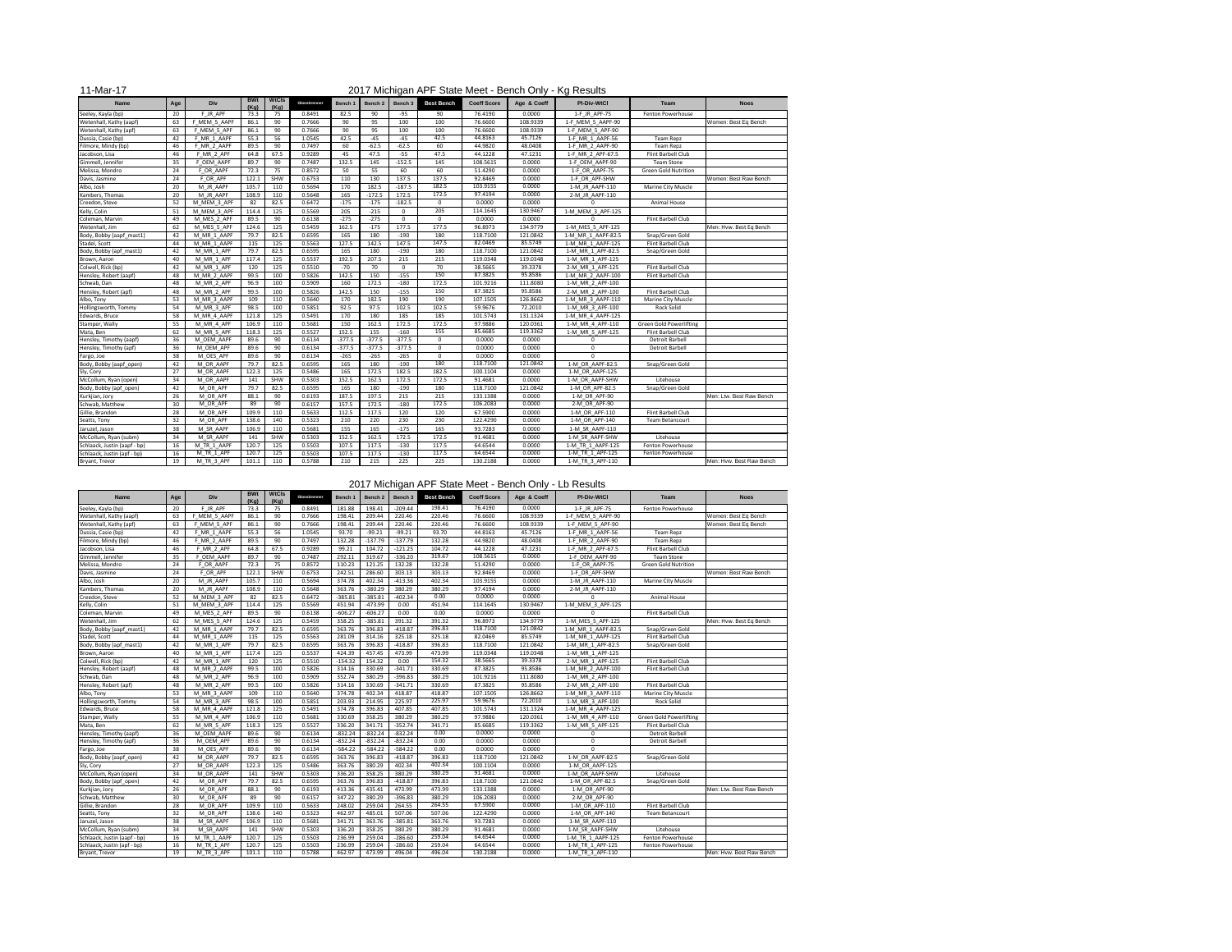| 11-Mar-17                    |     |              |                    |                      |              |          |          |              |                   |                    |             | 2017 Michigan APF State Meet - Bench Only - Kg Results |                                |                          |
|------------------------------|-----|--------------|--------------------|----------------------|--------------|----------|----------|--------------|-------------------|--------------------|-------------|--------------------------------------------------------|--------------------------------|--------------------------|
| <b>Name</b>                  | Age | Div          | <b>BWt</b><br>(Kg) | <b>WtCls</b><br>(Kg) | Glossbrenner | Bench 1  | Bench 2  | Bench 3      | <b>Best Bench</b> | <b>Coeff Score</b> | Age & Coeff | <b>PI-Div-WtCl</b>                                     | <b>Team</b>                    | <b>Noes</b>              |
| Seeley, Kayla (bp)           | 20  | F JR APF     | 73.3               | 75                   | 0.8491       | 82.5     | 90       | $-95$        | 90                | 76.4190            | 0.0000      | 1-F JR APF-75                                          | Fenton Powerhouse              |                          |
| Wetenhall, Kathy (aapf)      | 63  | F_MEM_5_AAPF | 86.1               | 90                   | 0.7666       | 90       | 95       | 100          | 100               | 76.6600            | 108.9339    | 1-F MEM 5 AAPF-90                                      |                                | Women: Best Eq Bench     |
| Wetenhall, Kathy (apf)       | 63  | F MEM 5 APF  | 86.1               | 90                   | 0.7666       | 90       | 95       | 100          | 100               | 76.6600            | 108.9339    | 1-F_MEM_5_APF-90                                       |                                |                          |
| Dussia, Casie (bp)           | 42  | F MR 1 AAPF  | 55.3               | 56                   | 1.0545       | 42.5     | $-45$    | -45          | 42.5              | 44.8163            | 45.7126     | 1-F MR 1 AAPF-56                                       | <b>Team Repz</b>               |                          |
| Filmore, Mindy (bp)          | 46  | F MR 2 AAPF  | 89.5               | 90                   | 0.7497       | 60       | $-62.5$  | $-62.5$      | 60                | 44.9820            | 48.0408     | 1-F MR 2 AAPF-90                                       | <b>Team Repz</b>               |                          |
| Jacobson, Lisa               | 46  | F_MR_2_APF   | 64.8               | 67.5                 | 0.9289       | 45       | 47.5     | $-55$        | 47.5              | 44.1228            | 47.1231     | 1-F MR 2 APF-67.5                                      | Flint Barbell Club             |                          |
| Gimmell, Jennifer            | 35  | F OEM AAPF   | 89.7               | 90                   | 0.7487       | 132.5    | 145      | $-152.5$     | 145               | 108.5615           | 0.0000      | 1-F OEM AAPF-90                                        | <b>Team Stone</b>              |                          |
| Melissa, Mondro              | 24  | F OR AAPF    | 72.3               | 75                   | 0.8572       | 50       | 55       | 60           | 60                | 51.4290            | 0.0000      | 1-F OR AAPF-75                                         | <b>Green Gold Nutrition</b>    |                          |
| Davis, Jasmine               | 24  | F OR APF     | 122.1              | SHW                  | 0.6753       | 110      | 130      | 137.5        | 137.5             | 92.8469            | 0.0000      | 1-F OR APF-SHW                                         |                                | Women: Best Raw Bench    |
| Albo, Josh                   | 20  | M JR AAPF    | 105.7              | 110                  | 0.5694       | 170      | 182.5    | $-187.5$     | 182.5             | 103.9155           | 0.0000      | 1-M JR AAPF-110                                        | <b>Marine City Muscle</b>      |                          |
| Kambers, Thomas              | 20  | M JR AAPF    | 108.9              | 110                  | 0.5648       | 165      | $-172.5$ | 172.5        | 172.5             | 97.4194            | 0.0000      | 2-M_JR_AAPF-110                                        |                                |                          |
| Creedon, Steve               | 52  | M_MEM_3_APF  | 82                 | 82.5                 | 0.6472       | $-175$   | $-175$   | $-182.5$     | $\Omega$          | 0.0000             | 0.0000      |                                                        | <b>Animal House</b>            |                          |
| Kelly, Colin                 | 51  | M_MEM_3_APF  | 114.4              | 125                  | 0.5569       | 205      | $-215$   | $\Omega$     | 205               | 114.1645           | 130.9467    | 1-M MEM 3 APF-125                                      |                                |                          |
| Coleman, Marvin              | 49  | M MES 2 APF  | 89.5               | 90                   | 0.6138       | $-275$   | $-275$   | $\mathbf{0}$ | $\Omega$          | 0.0000             | 0.0000      | $\Omega$                                               | Flint Barbell Club             |                          |
| Wetenhall, Jim               | 62  | M_MES_5_APF  | 124.6              | 125                  | 0.5459       | 162.5    | $-175$   | 177.5        | 177.5             | 96.8973            | 134.9779    | 1-M MES 5 APF-125                                      |                                | Men: Hvw. Best Eq Bench  |
| Body, Bobby (aapf_mast1)     | 42  | M MR 1 AAPF  | 79.7               | 82.5                 | 0.6595       | 165      | 180      | $-190$       | 180               | 118.7100           | 121.0842    | 1-M MR 1 AAPF-82.5                                     | Snap/Green Gold                |                          |
| Stadel, Scott                | 44  | M MR 1 AAPF  | 115                | 125                  | 0.5563       | 127.5    | 142.5    | 147.5        | 147.5             | 82.0469            | 85.5749     | 1-M MR 1 AAPF-125                                      | Flint Barbell Club             |                          |
| Body, Bobby (apf_mast1)      | 42  | M MR 1 APF   | 79.7               | 82.5                 | 0.6595       | 165      | 180      | $-190$       | 180               | 118.7100           | 121.0842    | 1-M MR 1 APF-82.5                                      | Snap/Green Gold                |                          |
| Brown, Aaron                 | 40  | M MR 1 APF   | 117.4              | 125                  | 0.5537       | 192.5    | 207.5    | 215          | 215               | 119.0348           | 119.0348    | 1-M MR 1 APF-125                                       |                                |                          |
| Colwell, Rick (bp)           | 42  | M MR 1 APF   | 120                | 125                  | 0.5510       | $-70$    | 70       | $\mathbf{0}$ | 70                | 38.5665            | 39.3378     | 2-M MR 1_APF-125                                       | Flint Barbell Club             |                          |
| Hensley, Robert (aapf)       | 48  | M MR 2 AAPF  | 99.5               | 100                  | 0.5826       | 142.5    | 150      | $-155$       | 150               | 87.3825            | 95.8586     | 1-M MR 2 AAPF-100                                      | Flint Barbell Club             |                          |
| Schwab, Dan                  | 48  | M_MR_2_APF   | 96.9               | 100                  | 0.5909       | 160      | 172.5    | $-180$       | 172.5             | 101.9216           | 111.8080    | 1-M MR 2 APF-100                                       |                                |                          |
| Hensley, Robert (apf)        | 48  | M_MR_2_APF   | 99.5               | 100                  | 0.5826       | 142.5    | 150      | $-155$       | 150               | 87.3825            | 95.8586     | 2-M MR 2 APF-100                                       | Flint Barbell Club             |                          |
| Albo, Tony                   | 53  | M MR 3 AAPF  | 109                | 110                  | 0.5640       | 170      | 182.5    | 190          | 190               | 107.1505           | 126.8662    | 1-M MR 3 AAPF-110                                      | Marine City Muscle             |                          |
| Hollingsworth, Tommy         | 54  | M MR 3 APF   | 98.5               | 100                  | 0.5851       | 92.5     | 97.5     | 102.5        | 102.5             | 59.9676            | 72.2010     | 1-M_MR_3_APF-100                                       | <b>Rock Solid</b>              |                          |
| Edwards, Bruce               | 58  | M MR 4 AAPF  | 121.8              | 125                  | 0.5491       | 170      | 180      | 185          | 185               | 101.5743           | 131.1324    | 1-M MR 4 AAPF-125                                      |                                |                          |
| Stamper, Wally               | 55  | M_MR_4_APF   | 106.9              | 110                  | 0.5681       | 150      | 162.5    | 172.5        | 172.5             | 97.9886            | 120.0361    | 1-M MR 4 APF-110                                       | <b>Green Gold Powerlifting</b> |                          |
| Mata, Ben                    | 62  | M MR 5 APF   | 118.3              | 125                  | 0.5527       | 152.5    | 155      | $-160$       | 155               | 85.6685            | 119.3362    | 1-M MR 5 APF-125                                       | Flint Barbell Club             |                          |
| Hensley, Timothy (aapf)      | 36  | M OEM AAPF   | 89.6               | 90                   | 0.6134       | $-377.5$ | $-377.5$ | $-377.5$     | $\Omega$          | 0.0000             | 0.0000      | $\Omega$                                               | Detroit Barbell                |                          |
| Hensley, Timothy (apf)       | 36  | M OEM APF    | 89.6               | 90                   | 0.6134       | $-377.5$ | $-377.5$ | $-377.5$     |                   | 0.0000             | 0.0000      | 0                                                      | Detroit Barbell                |                          |
| Fargo, Joe                   | 38  | M_OES_APF    | 89.6               | 90                   | 0.6134       | $-265$   | $-265$   | $-265$       | - 0               | 0.0000             | 0.0000      | $\Omega$                                               |                                |                          |
| Body, Bobby (aapf_open)      | 42  | M_OR_AAPF    | 79.7               | 82.5                 | 0.6595       | 165      | 180      | $-190$       | 180               | 118.7100           | 121.0842    | 1-M_OR_AAPF-82.5                                       | Snap/Green Gold                |                          |
| Sly, Cory                    | 27  | M OR AAPF    | 122.3              | 125                  | 0.5486       | 165      | 172.5    | 182.5        | 182.5             | 100.1104           | 0.0000      | 1-M_OR_AAPF-125                                        |                                |                          |
| McCollum, Ryan (open)        | 34  | M OR AAPF    | 141                | SHW                  | 0.5303       | 152.5    | 162.5    | 172.5        | 172.5             | 91.4681            | 0.0000      | 1-M OR AAPF-SHW                                        | Litehouse                      |                          |
| Body, Bobby (apf_open)       | 42  | M OR APF     | 79.7               | 82.5                 | 0.6595       | 165      | 180      | $-190$       | 180               | 118.7100           | 121.0842    | 1-M OR APF-82.5                                        | Snap/Green Gold                |                          |
| Kurkjian, Jory               | 26  | M_OR_APF     | 88.1               | 90                   | 0.6193       | 187.5    | 197.5    | 215          | 215               | 133.1388           | 0.0000      | 1-M_OR_APF-90                                          |                                | Men: Ltw. Best Raw Bench |
| Schwab, Matthew              | 30  | M OR APF     | 89                 | 90                   | 0.6157       | 157.5    | 172.5    | $-180$       | 172.5             | 106.2083           | 0.0000      | 2-M OR APF-90                                          |                                |                          |
| Gillie, Brandon              | 28  | M OR APF     | 109.9              | 110                  | 0.5633       | 112.5    | 117.5    | 120          | 120               | 67.5900            | 0.0000      | 1-M_OR_APF-110                                         | Flint Barbell Club             |                          |
| Seatts, Tony                 | 32  | M OR APF     | 138.6              | 140                  | 0.5323       | 210      | 220      | 230          | 230               | 122.4290           | 0.0000      | 1-M OR APF-140                                         | <b>Team Betancourt</b>         |                          |
| Jaruzel, Jason               | 38  | M SR AAPF    | 106.9              | 110                  | 0.5681       | 155      | 165      | $-175$       | 165               | 93.7283            | 0.0000      | 1-M_SR_AAPF-110                                        |                                |                          |
| McCollum, Ryan (subm)        | 34  | M SR AAPF    | 141                | SHW                  | 0.5303       | 152.5    | 162.5    | 172.5        | 172.5             | 91.4681            | 0.0000      | 1-M SR AAPF-SHW                                        | Litehouse                      |                          |
| Schlaack, Justin (aapf - bp) | 16  | M_TR_1_AAPF  | 120.7              | 125                  | 0.5503       | 107.5    | 117.5    | $-130$       | 117.5             | 64.6544            | 0.0000      | 1-M_TR_1_AAPF-125                                      | Fenton Powerhouse              |                          |
| Schlaack, Justin (apf - bp)  | 16  | M_TR_1_APF   | 120.7              | 125                  | 0.5503       | 107.5    | 117.5    | $-130$       | 117.5             | 64.6544            | 0.0000      | 1-M_TR_1_APF-125                                       | Fenton Powerhouse              |                          |
| Bryant, Trevor               | 19  | M_TR_3_APF   | 101.1              | 110                  | 0.5788       | 210      | 215      | 225          | 225               | 130.2188           | 0.0000      | 1-M_TR_3_APF-110                                       |                                | Men: Hvw. Best Raw Bench |
|                              |     |              |                    |                      |              |          |          |              |                   |                    |             |                                                        |                                |                          |

| <b>Name</b>                  | Age | <b>Div</b>  | <b>BWt</b><br>(Kq) | <b>WtCls</b><br>(Kg) | Glossbrenner | Bench 1   | Bench 2   | Bench 3   | <b>Best Bench</b> | <b>Coeff Score</b> | Age & Coeff | <b>PI-Div-WtCl</b> | <b>Team</b>                    | <b>Noes</b>              |
|------------------------------|-----|-------------|--------------------|----------------------|--------------|-----------|-----------|-----------|-------------------|--------------------|-------------|--------------------|--------------------------------|--------------------------|
| Seeley, Kayla (bp)           | 20  | F JR APF    | 73.3               | 75                   | 0.8491       | 181.88    | 198.41    | $-209.44$ | 198.41            | 76.4190            | 0.0000      | 1-F_JR_APF-75      | Fenton Powerhouse              |                          |
| Wetenhall, Kathy (aapf)      | 63  | MEM 5 AAPF  | 86.1               | 90                   | 0.7666       | 198.41    | 209.44    | 220.46    | 220.46            | 76.6600            | 108.9339    | 1-F_MEM_5_AAPF-90  |                                | Women: Best Eq Bench     |
| Wetenhall, Kathy (apf)       | 63  | F MEM 5 APF | 86.1               | 90                   | 0.7666       | 198.41    | 209.44    | 220.46    | 220.46            | 76.6600            | 108.9339    | 1-F MEM 5 APF-90   |                                | Women: Best Eq Bench     |
| Dussia, Casie (bp)           | 42  | F_MR_1_AAPF | 55.3               | 56                   | 1.0545       | 93.70     | $-99.21$  | $-99.21$  | 93.70             | 44.8163            | 45.7126     | 1-F_MR_1_AAPF-56   | <b>Team Repz</b>               |                          |
| Filmore, Mindy (bp)          | 46  | F MR 2 AAPF | 89.5               | 90                   | 0.7497       | 132.28    | $-137.79$ | $-137.79$ | 132.28            | 44.9820            | 48.0408     | 1-F_MR_2_AAPF-90   | Team Repz                      |                          |
| Jacobson, Lisa               | 46  | F MR 2 APF  | 64.8               | 67.5                 | 0.9289       | 99.21     | 104.72    | $-121.25$ | 104.72            | 44.1228            | 47.1231     | 1-F MR 2 APF-67.5  | Flint Barbell Club             |                          |
| Gimmell, Jennifer            | 35  | F OEM AAPF  | 89.7               | 90                   | 0.7487       | 292.11    | 319.67    | $-336.20$ | 319.67            | 108.5615           | 0.0000      | 1-F_OEM_AAPF-90    | <b>Team Stone</b>              |                          |
| Melissa, Mondro              | 24  | F OR AAPF   | 72.3               | 75                   | 0.8572       | 110.23    | 121.25    | 132.28    | 132.28            | 51.4290            | 0.0000      | 1-F OR AAPF-75     | <b>Green Gold Nutrition</b>    |                          |
| Davis, Jasmine               | 24  | F_OR_APF    | 122.1              | SHW                  | 0.6753       | 242.51    | 286.60    | 303.13    | 303.13            | 92.8469            | 0.0000      | 1-F_OR_APF-SHW     |                                | Women: Best Raw Bench    |
| Albo, Josh                   | 20  | M JR AAPF   | 105.7              | 110                  | 0.5694       | 374.78    | 402.34    | $-413.36$ | 402.34            | 103.9155           | 0.0000      | 1-M JR AAPF-110    | Marine City Muscle             |                          |
| Kambers, Thomas              | 20  | M JR AAPF   | 108.9              | 110                  | 0.5648       | 363.76    | $-380.29$ | 380.29    | 380.29            | 97.4194            | 0.0000      | 2-M_JR_AAPF-110    |                                |                          |
| Creedon, Steve               | 52  | M_MEM_3_APF | 82                 | 82.5                 | 0.6472       | $-385.81$ | $-385.81$ | $-402.34$ | 0.00              | 0.0000             | 0.0000      |                    | <b>Animal House</b>            |                          |
| Kelly, Colin                 | 51  | M MEM 3 APF | 114.4              | 125                  | 0.5569       | 451.94    | $-473.99$ | 0.00      | 451.94            | 114.1645           | 130.9467    | 1-M MEM 3 APF-125  |                                |                          |
| Coleman, Marvin              | 49  | M MES 2 APF | 89.5               | 90                   | 0.6138       | $-606.27$ | $-606.27$ | 0.00      | 0.00              | 0.0000             | 0.0000      |                    | Flint Barbell Club             |                          |
| Wetenhall, Jim               | 62  | M_MES_5_APF | 124.6              | 125                  | 0.5459       | 358.25    | $-385.81$ | 391.32    | 391.32            | 96.8973            | 134.9779    | 1-M_MES_5_APF-125  |                                | Men: Hvw. Best Eq Bench  |
| Body, Bobby (aapf_mast1)     | 42  | M MR 1 AAPF | 79.7               | 82.5                 | 0.6595       | 363.76    | 396.83    | $-418.87$ | 396.83            | 118.7100           | 121.0842    | 1-M MR 1 AAPF-82.5 | Snap/Green Gold                |                          |
| Stadel, Scott                | 44  | M_MR_1_AAPF | 115                | 125                  | 0.5563       | 281.09    | 314.16    | 325.18    | 325.18            | 82.0469            | 85.5749     | 1-M_MR_1_AAPF-125  | Flint Barbell Club             |                          |
| Body, Bobby (apf_mast1)      | 42  | M MR 1 APF  | 79.7               | 82.5                 | 0.6595       | 363.76    | 396.83    | $-418.87$ | 396.83            | 118.7100           | 121.0842    | 1-M MR 1 APF-82.5  | Snap/Green Gold                |                          |
| Brown, Aaron                 | 40  | M MR 1 APF  | 117.4              | 125                  | 0.5537       | 424.39    | 457.45    | 473.99    | 473.99            | 119.0348           | 119.0348    | 1-M_MR_1_APF-125   |                                |                          |
| Colwell, Rick (bp)           | 42  | M MR 1 APF  | 120                | 125                  | 0.5510       | $-154.32$ | 154.32    | 0.00      | 154.32            | 38.5665            | 39.3378     | 2-M_MR_1_APF-125   | Flint Barbell Club             |                          |
| Hensley, Robert (aapf)       | 48  | M MR 2 AAPF | 99.5               | 100                  | 0.5826       | 314.16    | 330.69    | $-341.71$ | 330.69            | 87.3825            | 95.8586     | 1-M MR 2 AAPF-100  | Flint Barbell Club             |                          |
| Schwab, Dan                  | 48  | M_MR_2_APF  | 96.9               | 100                  | 0.5909       | 352.74    | 380.29    | $-396.83$ | 380.29            | 101.9216           | 111.8080    | 1-M_MR_2_APF-100   |                                |                          |
| Hensley, Robert (apf)        | 48  | M MR 2 APF  | 99.5               | 100                  | 0.5826       | 314.16    | 330.69    | $-341.71$ | 330.69            | 87.3825            | 95.8586     | 2-M MR 2 APF-100   | Flint Barbell Club             |                          |
| Albo, Tony                   | 53  | M_MR_3_AAPF | 109                | 110                  | 0.5640       | 374.78    | 402.34    | 418.87    | 418.87            | 107.1505           | 126.8662    | 1-M MR 3 AAPF-110  | Marine City Muscle             |                          |
| Hollingsworth, Tommy         | 54  | M_MR_3_APF  | 98.5               | 100                  | 0.5851       | 203.93    | 214.95    | 225.97    | 225.97            | 59.9676            | 72.2010     | 1-M_MR_3_APF-100   | <b>Rock Solid</b>              |                          |
| Edwards, Bruce               | 58  | M MR 4 AAPF | 121.8              | 125                  | 0.5491       | 374.78    | 396.83    | 407.85    | 407.85            | 101.5743           | 131.1324    | 1-M MR 4 AAPF-125  |                                |                          |
| Stamper, Wally               | 55  | M MR 4 APF  | 106.9              | 110                  | 0.5681       | 330.69    | 358.25    | 380.29    | 380.29            | 97.9886            | 120.0361    | 1-M MR 4 APF-110   | <b>Green Gold Powerlifting</b> |                          |
| Mata, Ben                    | 62  | M MR 5 APF  | 118.3              | 125                  | 0.5527       | 336.20    | 341.71    | $-352.74$ | 341.71            | 85.6685            | 119.3362    | 1-M_MR_5_APF-125   | Flint Barbell Club             |                          |
| Hensley, Timothy (aapf)      | 36  | M_OEM_AAPF  | 89.6               | 90                   | 0.6134       | $-832.24$ | $-832.24$ | $-832.24$ | 0.00              | 0.0000             | 0.0000      |                    | Detroit Barbell                |                          |
| Hensley, Timothy (apf)       | 36  | M_OEM_APF   | 89.6               | 90                   | 0.6134       | $-832.24$ | $-832.24$ | $-832.24$ | 0.00              | 0.0000             | 0.0000      | 0                  | Detroit Barbell                |                          |
| Fargo, Joe                   | 38  | M OES APF   | 89.6               | 90                   | 0.6134       | $-584.22$ | $-584.22$ | $-584.22$ | 0.00              | 0.0000             | 0.0000      | $\Omega$           |                                |                          |
| Body, Bobby (aapf_open)      | 42  | M_OR_AAPF   | 79.7               | 82.5                 | 0.6595       | 363.76    | 396.83    | $-418.87$ | 396.83            | 118.7100           | 121.0842    | 1-M_OR_AAPF-82.5   | Snap/Green Gold                |                          |
| Sly, Cory                    | 27  | M_OR_AAPF   | 122.3              | 125                  | 0.5486       | 363.76    | 380.29    | 402.34    | 402.34            | 100.1104           | 0.0000      | 1-M OR AAPF-125    |                                |                          |
| McCollum, Ryan (open)        | 34  | M OR AAPF   | 141                | SHW                  | 0.5303       | 336.20    | 358.25    | 380.29    | 380.29            | 91.4681            | 0.0000      | 1-M OR AAPF-SHW    | Litehouse                      |                          |
| Body, Bobby (apf_open)       | 42  | M OR APF    | 79.7               | 82.5                 | 0.6595       | 363.76    | 396.83    | $-418.87$ | 396.83            | 118.7100           | 121.0842    | 1-M OR APF-82.5    | Snap/Green Gold                |                          |
| Kurkjian, Jory               | 26  | M OR APF    | 88.1               | 90                   | 0.6193       | 413.36    | 435.41    | 473.99    | 473.99            | 133.1388           | 0.0000      | 1-M OR APF-90      |                                | Men: Ltw. Best Raw Bench |
| Schwab, Matthew              | 30  | M OR APF    | 89                 | 90                   | 0.6157       | 347.22    | 380.29    | $-396.83$ | 380.29            | 106.2083           | 0.0000      | 2-M OR APF-90      |                                |                          |
| Gillie, Brandon              | 28  | M OR APF    | 109.9              | 110                  | 0.5633       | 248.02    | 259.04    | 264.55    | 264.55            | 67.5900            | 0.0000      | 1-M_OR_APF-110     | Flint Barbell Club             |                          |
| Seatts, Tony                 | 32  | M OR APF    | 138.6              | 140                  | 0.5323       | 462.97    | 485.01    | 507.06    | 507.06            | 122.4290           | 0.0000      | 1-M OR APF-140     | <b>Team Betancourt</b>         |                          |
| Jaruzel, Jason               | 38  | M SR AAPF   | 106.9              | 110                  | 0.5681       | 341.71    | 363.76    | $-385.81$ | 363.76            | 93.7283            | 0.0000      | 1-M_SR_AAPF-110    |                                |                          |
| McCollum, Ryan (subm)        | 34  | M SR AAPF   | 141                | SHW                  | 0.5303       | 336.20    | 358.25    | 380.29    | 380.29            | 91.4681            | 0.0000      | 1-M SR AAPF-SHW    | Litehouse                      |                          |
| Schlaack, Justin (aapf - bp) | 16  | M_TR_1_AAPF | 120.7              | 125                  | 0.5503       | 236.99    | 259.04    | $-286.60$ | 259.04            | 64.6544            | 0.0000      | 1-M_TR_1_AAPF-125  | Fenton Powerhouse              |                          |
| Schlaack, Justin (apf - bp)  | 16  | M TR 1 APF  | 120.7              | 125                  | 0.5503       | 236.99    | 259.04    | $-286.60$ | 259.04            | 64.6544            | 0.0000      | 1-M TR 1 APF-125   | Fenton Powerhouse              |                          |
| Bryant, Trevor               | 19  | M_TR_3_APF  | 101.1              | 110                  | 0.5788       | 462.97    | 473.99    | 496.04    | 496.04            | 130.2188           | 0.0000      | 1-M_TR_3_APF-110   |                                | Men: Hvw. Best Raw Bench |

# 2017 Michigan APF State Meet - Bench Only - Lb Results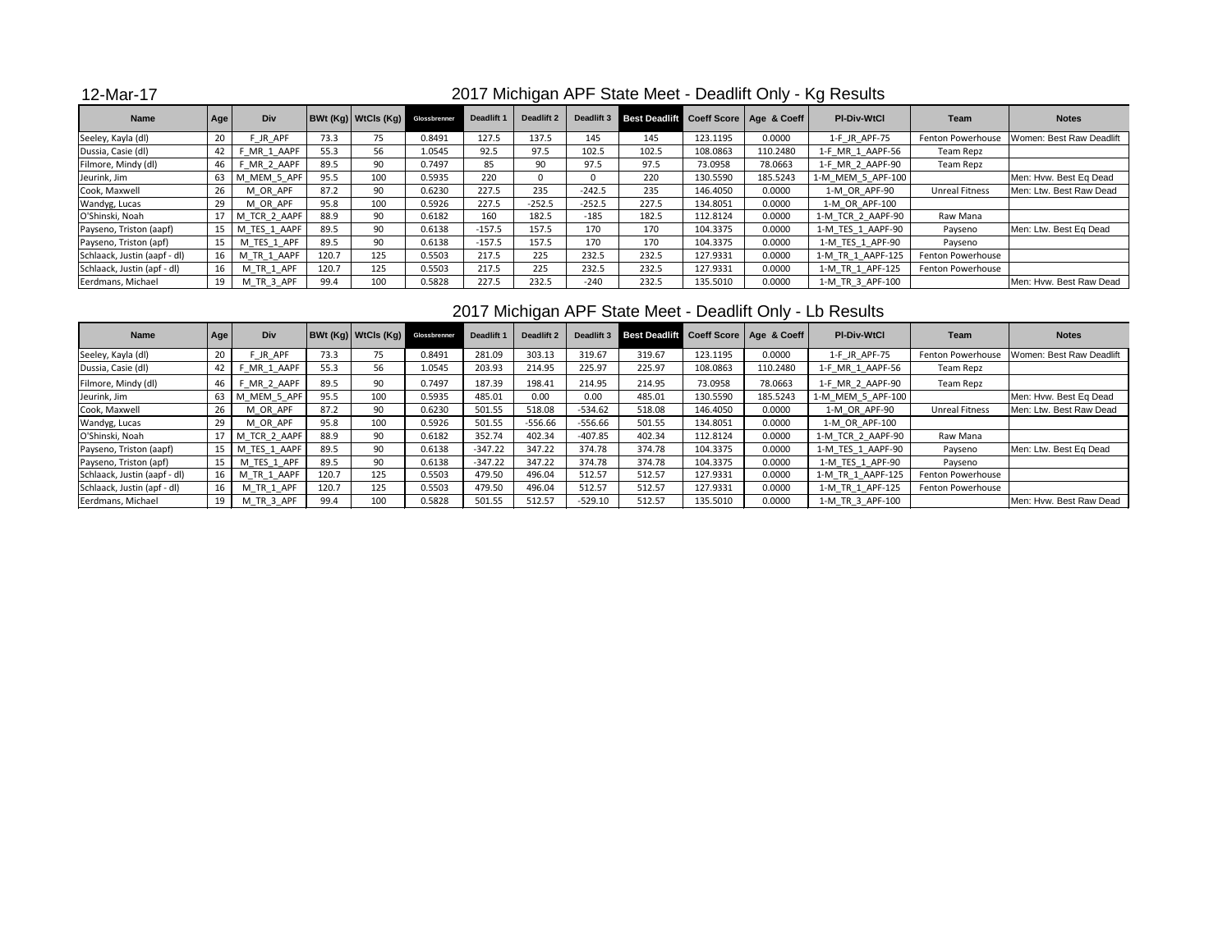## 12-Mar-17

| <b>Name</b>                  | Age             | Div           |       | <b>BWt (Kg) WtCls (Kg)</b> Glossbrenner |        | Deadlift 1 | <b>Deadlift 2</b> | Deadlift 3 | Best Deadlift Coeff Score   Age & Coeff |          |          | <b>PI-Div-WtCl</b> | Team                  | <b>Notes</b>             |
|------------------------------|-----------------|---------------|-------|-----------------------------------------|--------|------------|-------------------|------------|-----------------------------------------|----------|----------|--------------------|-----------------------|--------------------------|
| Seeley, Kayla (dl)           | 20              | <b>JR APF</b> | 73.3  | 75                                      | 0.8491 | 127.5      | 137.5             | 145        | 145                                     | 123.1195 | 0.0000   | 1-F_JR_APF-75      | Fenton Powerhouse     | Women: Best Raw Deadlift |
| Dussia, Casie (dl)           | 42              | MR 1 AAPF     | 55.3  | 56                                      | 1.0545 | 92.5       | 97.5              | 102.5      | 102.5                                   | 108.0863 | 110.2480 | 1-F MR 1 AAPF-56   | Team Repz             |                          |
| Filmore, Mindy (dl)          | 46              | MR 2 AAPF     | 89.5  | 90                                      | 0.7497 | 85         | 90                | 97.5       | 97.5                                    | 73.0958  | 78.0663  | 1-F MR 2 AAPF-90   | Team Repz             |                          |
| Jeurink, Jim                 | 63              | M MEM 5 APF   | 95.5  | 100                                     | 0.5935 | 220        |                   |            | 220                                     | 130.5590 | 185.5243 | 1-M MEM 5 APF-100  |                       | Men: Hvw. Best Eq Dead   |
| Cook, Maxwell                | 26              | M OR APF      | 87.2  | 90                                      | 0.6230 | 227.5      | 235               | $-242.5$   | 235                                     | 146.4050 | 0.0000   | 1-M OR APF-90      | <b>Unreal Fitness</b> | Men: Ltw. Best Raw Dead  |
| Wandyg, Lucas                | 29              | M OR APF      | 95.8  | 100                                     | 0.5926 | 227.5      | $-252.5$          | $-252.5$   | 227.5                                   | 134.8051 | 0.0000   | 1-M OR APF-100     |                       |                          |
| O'Shinski, Noah              |                 | M TCR 2 AAPF  | 88.9  | 90                                      | 0.6182 | 160        | 182.5             | $-185$     | 182.5                                   | 112.8124 | 0.0000   | 1-M TCR 2 AAPF-90  | Raw Mana              |                          |
| Payseno, Triston (aapf)      | 15 <sub>1</sub> | M TES 1 AAPF  | 89.5  | 90                                      | 0.6138 | $-157.5$   | 157.5             | 170        | 170                                     | 104.3375 | 0.0000   | 1-M TES 1 AAPF-90  | Payseno               | Men: Ltw. Best Eq Dead   |
| Payseno, Triston (apf)       | 15              | M TES 1 APF   | 89.5  | 90                                      | 0.6138 | $-157.5$   | 157.5             | 170        | 170                                     | 104.3375 | 0.0000   | 1-M TES 1 APF-90   | Payseno               |                          |
| Schlaack, Justin (aapf - dl) | 16              | M TR 1 AAPF   | 120.7 | 125                                     | 0.5503 | 217.5      | 225               | 232.5      | 232.5                                   | 127.9331 | 0.0000   | 1-M TR 1 AAPF-125  | Fenton Powerhouse     |                          |
| Schlaack, Justin (apf - dl)  | 16              | M TR 1 APF    | 120.7 | 125                                     | 0.5503 | 217.5      | 225               | 232.5      | 232.5                                   | 127.9331 | 0.0000   | 1-M TR 1 APF-125   | Fenton Powerhouse     |                          |
| Eerdmans, Michael            | 19              | M TR 3 APF    | 99.4  | 100                                     | 0.5828 | 227.5      | 232.5             | $-240$     | 232.5                                   | 135.5010 | 0.0000   | 1-M TR 3 APF-100   |                       | Men: Hvw. Best Raw Dead  |

### 2017 Michigan APF State Meet - Deadlift Only - Lb Results

| <b>Name</b>                  | Age  | Div              |       | <b>BWt (Kg) WtCls (Kg)</b> Glossbrenner |        | Deadlift 1 | <b>Deadlift 2</b> | Deadlift 3 |        |          | Best Deadlift Coeff Score   Age & Coeff | <b>PI-Div-WtCl</b> | Team                  | <b>Notes</b>             |
|------------------------------|------|------------------|-------|-----------------------------------------|--------|------------|-------------------|------------|--------|----------|-----------------------------------------|--------------------|-----------------------|--------------------------|
| Seeley, Kayla (dl)           | 20   | JR APF           | 73.3  | 75                                      | 0.8491 | 281.09     | 303.13            | 319.67     | 319.67 | 123.1195 | 0.0000                                  | 1-F JR APF-75      | Fenton Powerhouse     | Women: Best Raw Deadlift |
| Dussia, Casie (dl)           | 42   | MR 1 AAPF        | 55.3  | 56                                      | 1.0545 | 203.93     | 214.95            | 225.97     | 225.97 | 108.0863 | 110.2480                                | 1-F_MR_1_AAPF-56   | Team Repz             |                          |
| Filmore, Mindy (dl)          | 46 I | F MR 2 AAPF      | 89.5  | 90                                      | 0.7497 | 187.39     | 198.41            | 214.95     | 214.95 | 73.0958  | 78.0663                                 | 1-F MR 2 AAPF-90   | Team Repz             |                          |
| Jeurink, Jim                 |      | 63   M MEM 5 APF | 95.5  | 100                                     | 0.5935 | 485.01     | 0.00              | 0.00       | 485.01 | 130.5590 | 185.5243                                | 1-M MEM 5 APF-100  |                       | Men: Hvw. Best Eq Dead   |
| Cook, Maxwell                | 26   | M OR APF         | 87.2  | 90                                      | 0.6230 | 501.55     | 518.08            | $-534.62$  | 518.08 | 146.4050 | 0.0000                                  | 1-M OR APF-90      | <b>Unreal Fitness</b> | Men: Ltw. Best Raw Dead  |
| Wandyg, Lucas                |      | M OR APF         | 95.8  | 100                                     | 0.5926 | 501.55     | $-556.66$         | $-556.66$  | 501.55 | 134.8051 | 0.0000                                  | 1-M OR APF-100     |                       |                          |
| O'Shinski, Noah              |      | M TCR 2 AAPF     | 88.9  | 90                                      | 0.6182 | 352.74     | 402.34            | $-407.85$  | 402.34 | 112.8124 | 0.0000                                  | 1-M TCR 2 AAPF-90  | Raw Mana              |                          |
| Payseno, Triston (aapf)      | 15   | M TES 1 AAPF     | 89.5  | 90                                      | 0.6138 | $-347.22$  | 347.22            | 374.78     | 374.78 | 104.3375 | 0.0000                                  | 1-M TES 1 AAPF-90  | Payseno               | Men: Ltw. Best Eq Dead   |
| Payseno, Triston (apf)       | 15   | M TES 1 APF      | 89.5  | 90                                      | 0.6138 | $-347.22$  | 347.22            | 374.78     | 374.78 | 104.3375 | 0.0000                                  | 1-M TES 1 APF-90   | Payseno               |                          |
| Schlaack, Justin (aapf - dl) | 16   | M TR 1 AAPF      | 120.7 | 125                                     | 0.5503 | 479.50     | 496.04            | 512.57     | 512.57 | 127.9331 | 0.0000                                  | 1-M TR 1 AAPF-125  | Fenton Powerhouse     |                          |
| Schlaack, Justin (apf - dl)  | 16   | M TR 1 APF       | 120.7 | 125                                     | 0.5503 | 479.50     | 496.04            | 512.57     | 512.57 | 127.9331 | 0.0000                                  | 1-M TR 1 APF-125   | Fenton Powerhouse     |                          |
| Eerdmans, Michael            |      | M TR 3 APF       | 99.4  | 100                                     | 0.5828 | 501.55     | 512.57            | $-529.10$  | 512.57 | 135.5010 | 0.0000                                  | 1-M TR 3 APF-100   |                       | Men: Hvw. Best Raw Dead  |

## 2017 Michigan APF State Meet - Deadlift Only - Kg Results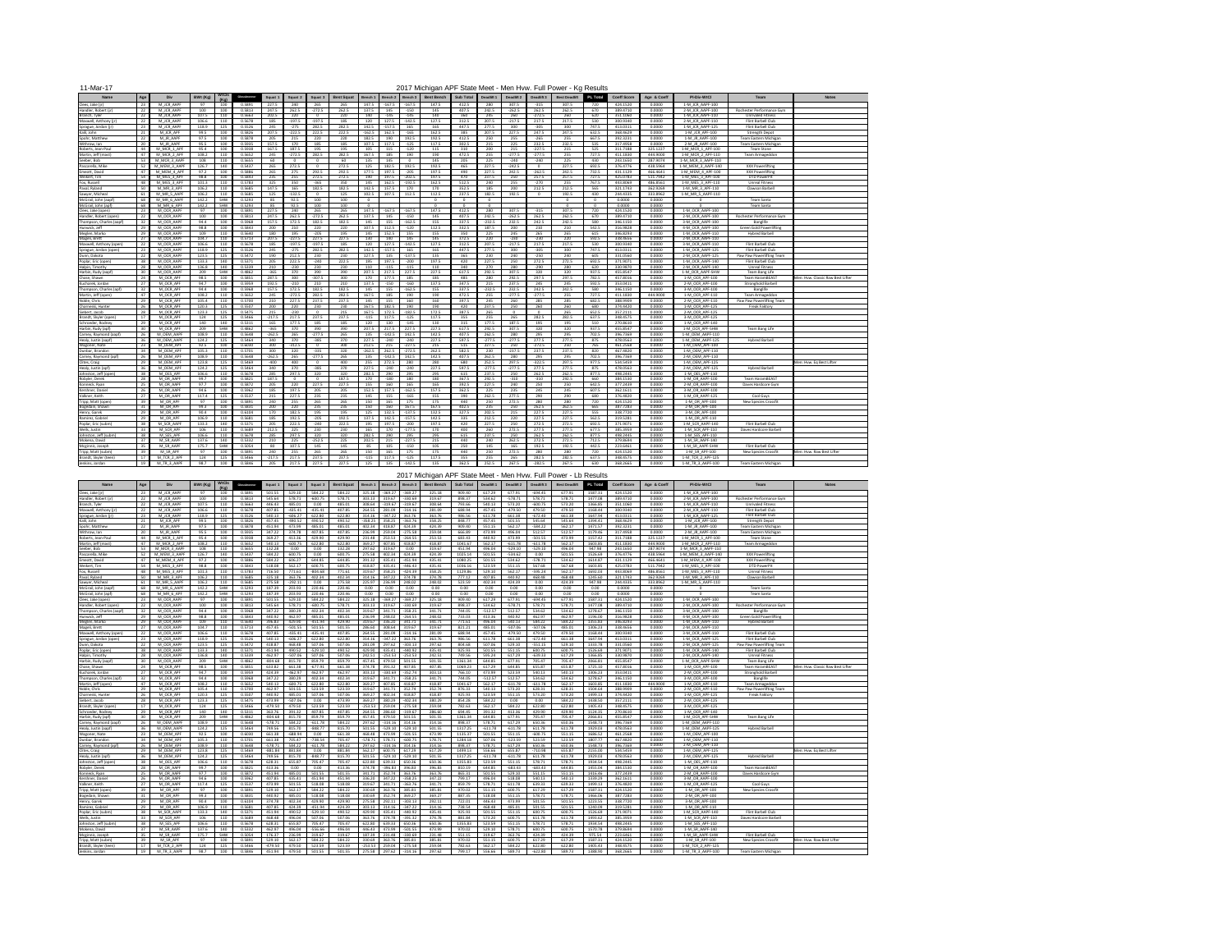| 11-Mar-17                                                                           |                                          |                         | <b>WtCls</b>             |                            |                            |                                  |                               |                            |                            |                                                         |                                  | 2017 Michigan APF State Meet - Men Hvw. Full Power - Kg Results |                            |                            |                               |                                  |                               |                                                                 |                                  |                                  |                                                            |                                                                       |                                   |
|-------------------------------------------------------------------------------------|------------------------------------------|-------------------------|--------------------------|----------------------------|----------------------------|----------------------------------|-------------------------------|----------------------------|----------------------------|---------------------------------------------------------|----------------------------------|-----------------------------------------------------------------|----------------------------|----------------------------|-------------------------------|----------------------------------|-------------------------------|-----------------------------------------------------------------|----------------------------------|----------------------------------|------------------------------------------------------------|-----------------------------------------------------------------------|-----------------------------------|
| Age<br><b>Name</b><br>23<br>Clees, Jake (jr)                                        | <b>Div</b><br>M JCR AAPF                 | BWt (Kg)                | (Ka)<br>100              | Glossbrenner<br>0.5891     | <b>Squat</b><br>227.5      | Squat 2<br>240                   | <b>Squat</b><br>265           | <b>Best Squat</b><br>265   | Bench 1<br>147.5           | Bench 2<br>$-167.5$                                     | Bench 3<br>-167.5                | <b>Best Bench</b><br>147.5                                      | <b>Sub Total</b><br>412.5  | <b>Deadlift 1</b><br>280   | <b>Deadlift 2</b><br>307.5    | Deadlift 3<br>-315               | <b>Best Deadlift</b><br>307.5 | <b>PL Total</b><br>720                                          | <b>Coeff Score</b><br>424.1520   | Age & Coeff<br>0.0000            | <b>PI-Div-WtCl</b><br>1-M JCR AAPF-100                     | Team                                                                  | <b>Notes</b>                      |
| 22<br>Handler, Robert (jr<br>22<br>Branch, Tyler                                    | M JCR AAPF<br>M JCR AAPF                 | 100<br>107.5            | 100<br>110               | 0.5813<br>0.5663           | 247.5<br>202.5             | 262.5<br>220                     | $-272.5$                      | 262.5<br>220               | 137.5<br>140               | 145<br>-145                                             | $-150$<br>$-145$                 | 145<br>140                                                      | 407.5<br>360               | 242.5<br>245               | $-262.5$<br>260               | 262.5<br>$-272.5$                | 262.5<br>260                  | 670<br>620                                                      | 389.4710<br>351.1060             | 0.0000<br>0.0000                 | 2-M JCR AAPF-100<br>1-M_JCR_AAPF-110                       | Rochester Performance Gym<br><b>Unrivaled Fitness</b>                 |                                   |
| 22<br>Maxwell, Anthony (jr)<br>23<br>Sprague, Jordan (jr                            | M JCR AAPF<br>M JCR AAPF                 | 106.6<br>118.9          | 110<br>125               | 0.5678<br>0.5526           | 185<br>245                 | $-197.5$<br>$-275$               | $-197.5$<br>282.5             | 185<br>282.5               | 120<br>142.5               | 127.5<br>$-157.5$                                       | -142.5<br>165                    | 127.5<br>165                                                    | 312.5<br>447.5             | 207.5<br>277.5             | $-217.5$<br>300               | 217.5<br>$-305$                  | 217.5<br>300                  | 530<br>747.5                                                    | 300.9340<br>413.0311             | 0.0000<br>0.0000                 | 2-M JCR AAPF-110<br>1-M_JCR_AAPF-125                       | Flint Barbell Club<br>Flint Barbell Club                              |                                   |
| Kalil, John<br>22<br>Spohr, Matthew                                                 | M JCR APF<br>M JR AAPF                   | 99.5<br>97.5            | 100<br>100               | 0.5826<br>0.5878           | 207.5<br>205               | $-222.5$<br>215                  | 222.5<br>220                  | 222.5<br>220               | $-162.5$<br>182.5          | 162.5<br>190                                            | $-165$<br>192.5                  | 162.5<br>192.5                                                  | 385<br>412.5               | 207.5<br>250               | 227.5<br>255                  | 247.5<br>-265                    | 247.5<br>255                  | 632.5<br>667.5                                                  | 368.4629<br>392.3231             | 0.0000<br>0.0000                 | 1-M JCR APF-100<br>1-M JR AAPF-100                         | <b>Strength Depot</b><br>Team Eastern Michigan                        |                                   |
| 20<br>Withrow, Ian<br>44<br>Roberts, Jean-Paul                                      | M JR AAPF<br>M MCR 1 APF                 | 95.5<br>95.4            | 100<br>100               | 0.5935<br>0.5938           | 157.5<br>167.5             | 170<br>187.5                     | 185<br>195                    | 185<br>195                 | 107.5<br>105               | 117.5                                                   | $-125$<br>$-120$                 | 117.5<br>115                                                    | 302.5<br>310               | 215<br>200                 | 225<br>215                    | 232.5<br>$-227.5$                | 232.5<br>215                  | 535<br>525                                                      | 317.4958<br>311.7188             | 0.0000<br>325.1227               | 2-M JR AAPF-100<br>1-M MCR 1 APF-100                       | <b>Team Eastern Michigan</b><br><b>Team Stone</b>                     |                                   |
| Martin, Jeff (mast)<br>47<br>Seeber, Bob                                            | M MCR 2 APF<br>M MCR 3 AAPF              | 108.2<br>108            | 110<br>110               | 0.5652<br>0.5655           | 245<br>60                  | $-272.5$                         | 282.5                         | 282.5<br>60                | 167.5<br>135               | 185<br>145                                              | 190                              | 190<br>145                                                      | 472.5<br>205               | 255<br>225                 | $-277.5$<br>$-240$            | $-277.5$<br>-240                 | 255<br>225                    | 727.5<br>430                                                    | 411.1830<br>243.1650             | 444.9000<br>287.9074             | 1-M MCR 2 APF-110<br>1-M_MCR_3_AAPF-110                    | <b>Team Armageddon</b>                                                |                                   |
| Pascarella, Mike<br>52<br>Emeott, David                                             | M MEM 3 AAPF<br>M MEM 4 API              | 126.7<br>97.2           | 140<br>100               | 0.5437<br>0.5886           | 265<br>265                 | 272.5<br>- 275                   | 292.5                         | 272.5<br>292.5             | 125<br>177.5               | 182.5<br>197.5                                          | 192.5<br>$-205$                  | 192.5<br>197.5                                                  | 465<br>490                 | 227.5<br>227.5             | $-242.5$<br>242.5             | $\Omega$<br>$-262.5$             | 227.5<br>242.5                | 692.5<br>732.5                                                  | 376.4776<br>431.1129             | 438.5964<br>466.4641             | 1-M MEM 3 AAPF-140<br>1-M MEM 4 APF-100                    | <b>XXX Powerlifting</b><br><b>XXX Powerlifting</b>                    |                                   |
| 54<br>Weikert, Tim<br>Fox, Russell<br>48<br>50<br>Paval, Ryland                     | M MES 3 APF<br>M MES 3 APF<br>M MR 3 APF | 98.8<br>101.3<br>106.2  | 100<br>110<br>110        | 0.5843<br>0.5783<br>0.5685 | 235<br>325<br>147.5        | 255<br>350<br>165                | 272.5<br>$-365$<br>182.5      | 272.5<br>350<br>182.5      | 190<br>145<br>142.5        | 197.5<br>162.5<br>157.5                                 | $-202.5$<br>$-192.5$<br>170      | 197.5<br>162.5<br>170                                           | 470<br>512.5<br>352.5      | 237.5<br>240<br>185        | 250<br>255<br>200             | 257.5<br>-270<br>212.5           | 257.5<br>255<br>212.5         | 727.5<br>767.5<br>565                                           | 425.0783<br>443.8069<br>321.1743 | 511.7942<br>486.8561<br>362.9269 | 1-M MES 3 APF-100<br>1-M MES 3 APF-110<br>1-M MR 3 APF-110 | <b>DTD PowerPit</b><br><b>Unreal Fitness</b><br>Clawson Barbell       |                                   |
| Sawyer, Michea<br>68<br>McGrail, John (aapf                                         | M MR 5 AAPI<br>M MR 6 AAPF               | 106.2<br>142.2          | 110<br>SHW               | 0.5685<br>0.5293           | 125<br>85                  | $-132.5$<br>92.5                 | 100                           | 125<br>100                 | 102.5                      | 107.5                                                   | 112.5                            | 112.5                                                           | 237.5                      | 182.5                      | 192.5                         |                                  | 192.5                         | 430                                                             | 244.4335<br>0.0000               | 333.8962<br>0.0000               | 1-M MR 5 AAPF-110                                          | Team Santa                                                            |                                   |
| 68<br>McGrail, John (apf)<br>23<br>Clees, Jake (open)                               | M MR 6 APF<br>M OCR AAPF                 | 142.2<br>97             | <b>SHW</b><br>100        | 0.5293<br>0.5891           | 85<br>227.5                | 92.5<br>240                      | 100<br>265                    | 100<br>265                 | 147.5                      | $-167.5$                                                | $-167.5$                         | 147.5                                                           | 412.5                      | 280                        | 307.5                         | $-315$                           | 307.5                         | 720                                                             | 0.0000<br>424.1520               | 0.0000<br>0.0000                 | 1-M OCR AAPF-100                                           | Team Santa                                                            |                                   |
| 22<br>Handler, Robert (open)<br>32<br>Thompson, Charles (aapf)                      | M OCR AAPF<br>M OCR AAPF                 | 100<br>94.4             | 100<br>100               | 0.5813<br>0.5968           | 247.5<br>157.5             | 262.5<br>172.5                   | $-272.5$<br>182.5             | 262.5<br>182.5             | 137.5<br>145               | 145<br>155                                              | $-150$<br>$-162.5$               | 145<br>155                                                      | 407.5<br>337.5             | 242.5<br>$-232.5$          | $-262.5$<br>232.5             | 262.5<br>242.5                   | 262.5<br>242.5                | 670<br>580                                                      | 389.4710<br>346.1150             | 0.0000<br>0.0000                 | 2-M OCR AAPF-100<br>3-M OCR AAPF-100                       | Rochester Performance Gym<br><b>Banglife</b>                          |                                   |
| 29<br>Hunwick, Jeff<br>29<br>Meglen, Marko                                          | M OCR AAPI<br>M OCR AAPI                 | 98.8<br>109             | 100<br>110               | 0.5843<br>0.5640           | 200<br>180                 | 210<br>195                       | 220<br>$-205$                 | 220<br>195                 | 107.5<br>145               | 112.5<br>152.5                                          | $-120$<br>155                    | 112.5<br>155                                                    | 332.5<br>350               | 187.5<br>225               | 200<br>245                    | 210<br>265                       | 210<br>265                    | 542.5<br>615                                                    | 316.9828<br>346.8293             | 0.0000<br>0.0000                 | 4-M OCR AAPF-100<br>1-M OCR AAPF-110                       | <b>Green Gold Powerlifting</b><br><b>Hybred Barbell</b>               |                                   |
| Mageli, Brett<br>27<br>Maxwell, Anthony (open)                                      | M OCR AAPI<br>M OCR AAPI                 | 104.7<br>106.6          | 110<br>110               | 0.5713<br>0.5678           | 207.5<br>185               | $-227.5$<br>$-197.5$             | 227.5<br>$-197.5$             | 227.5<br>185               | 130<br>120                 | 140<br>127.5                                            | 145<br>$-142.5$                  | 145<br>127.5                                                    | 372.5<br>312.5             | 220<br>207.5               | $-230$<br>$-217.5$            | $-230$<br>217.5                  | 220<br>217.5                  | 592.5<br>530                                                    | 338.4656<br>300.9340             | 0.0000<br>0.0000                 | 2-M OCR AAPF-110<br>3-M_OCR_AAPF-110                       | Flint Barbell Club                                                    |                                   |
| 23<br>Sprague, Jordan (open<br>22<br>Dunn, Dakota                                   | M OCR AAPI<br>M OCR AAPF                 | 118.9<br>123.5          | 125<br>125               | 0.5526<br>0.5472           | 245<br>190                 | $-275$<br>212.5                  | 282.5<br>230                  | 282.5<br>230               | 142.5<br>127.5             | $-157.5$<br>135                                         | 165<br>$-137.5$                  | 165<br>135                                                      | 447.5<br>365               | 277.5<br>230               | 300<br>240                    | $-305$<br>$-250$                 | 300<br>240                    | 747.5<br>605                                                    | 413.0311<br>331.0560             | 0.0000<br>0.0000                 | 1-M OCR AAPF-125<br>2-M OCR AAPF-125                       | Flint Barbell Club<br>Paw Paw Powerlifting Team                       |                                   |
| 38<br>Poplar, Eric (open)<br>28<br>Halpin, Timothy                                  | M OCR AAPI<br>M OCR AAPF                 | 133.3<br>136.8          | 140<br>140               | 0.5371<br>0.5339           | 205<br>210                 | 222.5<br>$-230$                  | $-240$<br>230                 | 222.5<br>230               | 195<br>110                 | 197.5<br>$-115$                                         | $-200$<br>-115                   | 197.5<br>110                                                    | 420<br>340                 | 227.5<br>270               | 250<br>280                    | 272.5<br>$-290$                  | 272.5<br>280                  | 692.5<br>620                                                    | 371.9071<br>330.9870             | 0.0000<br>0.0000                 | 1-M OCR AAPF-140<br>2-M OCR AAPF-140                       | Flint Barbell Club<br><b>Unreal Fitness</b>                           |                                   |
| 30<br>Harbin, Rudy (aapf)<br>24<br>Chase, Shawn                                     | M OCR AAPI<br>M OCR APF                  | 209<br>98.5             | <b>SHW</b><br>100        | 0.4862<br>0.5851           | $-365$<br>287.5            | 370<br>300                       | 390<br>$-307.5$               | 390<br>300                 | 207.5<br>170               | 217.5<br>177.5                                          | 227.5<br>185                     | 227.5<br>185                                                    | 617.5<br>485               | 292.5<br>280               | 307.5<br>292.5                | 320<br>297.5                     | 320<br>297.5                  | 937.5<br>782.5                                                  | 455.8547<br>457.8016             | 0.0000<br>0.0000                 | 1-M OCR AAPF-SHW<br>1-M OCR APF-100                        | Team Bang Life<br><b>Team HaramBEAST</b>                              | Men: Hvw. Classic Raw Best Lifter |
| 27<br>Kucharek, Jordan<br>32 <sup>2</sup><br>Thompson, Charles (apf)                | M OCR APF<br>M OCR APF                   | 94.7<br>94.4            | 100<br>100               | 0.5959<br>0.5968           | 192.5<br>157.5             | $-210$<br>172.5                  | 210<br>182.5                  | 210<br>182.5               | 137.5<br>145               | $-150$<br>155                                           | $-160$<br>$-162.5$               | 137.5<br>155                                                    | 347.5<br>337.5             | 215<br>$-232.5$            | 237.5<br>232.5                | 245<br>242.5                     | 245<br>242.5                  | 592.5<br>580                                                    | 353.0411<br>346.1150             | 0.0000<br>0.0000                 | 2-M OCR APF-100<br>3-M OCR APF-100                         | <b>Stronghold Barbell</b><br><b>Banglife</b>                          |                                   |
| 47<br>Martin, Jeff (open)<br>29<br>Noble, Chris                                     | M OCR APF<br>M OCR APF                   | 108.2<br>105.4          | 110<br>110               | 0.5652<br>0.5700           | 245<br>210                 | $-272.5$<br>227.5                | 282.5<br>237.5                | 282.5<br>237.5             | 167.5<br>145               | 185<br>155                                              | 190<br>160                       | 190<br>160                                                      | 472.5<br>397.5             | 255<br>245                 | $-277.5$<br>260               | $-277.5$<br>285                  | 255<br>285                    | 727.5<br>682.5                                                  | 411.1830<br>388.9909             | 444.9000<br>0.0000               | 1-M OCR APF-110<br>2-M OCR APF-110                         | <b>Team Armageddon</b><br>Paw Paw Powerlifting Team                   |                                   |
| 26<br>Charneski, Hunter<br>28<br>Siebert, Jacob                                     | M OCR APF<br>M OCR APF                   | 120.3<br>123.3          | 125<br>125               | 0.5507<br>0.5475           | 200<br>215                 | 220<br>$-230$                    | 230                           | 230<br>215                 | 167.5<br>167.5             | 182.5<br>172.5                                          | 190<br>$-182.5$                  | 190<br>172.5                                                    | 420<br>387.5               | 237.5<br>265               | 250                           | 260                              | 260<br>265                    | 680<br>652.5                                                    | 374.4420<br>357.2111             | 0.0000<br>0.0000                 | 1-M OCR APF-125<br>2-M OCR APF-125                         | <b>Freak Faktory</b>                                                  |                                   |
| 17<br>Brandt, Skyler (open)<br>29<br>Schroeder, Rodney<br>30                        | M OCR APF<br>M OCR APF<br>M OCR APF      | 124<br>140<br>209       | 125<br>140<br><b>SHW</b> | 0.5466<br>0.5311<br>0.4862 | $-217.5$<br>165<br>$-365$  | 217.5<br>177.5<br>370            | 237.5<br>185                  | 237.5<br>185<br>390        | $-115$<br>120<br>207.5     | 117.5<br>130<br>217.5                                   | $-125$<br>-145<br>227.5          | 117.5<br>130<br>227.5                                           | 355<br>315<br>617.5        | 255<br>177.5<br>292.5      | 265<br>187.5<br>307.5         | 282.5<br>195<br>320              | 282.5<br>195                  | 637.5<br>510<br>937.5                                           | 348.4575<br>270.8610<br>455.8547 | 0.0000<br>0.0000<br>0.0000       | 3-M OCR APF-125<br>1-M OCR APF-140<br>1-M OCR APF-SHW      | Team Bang Life                                                        |                                   |
| Harbin, Rudy (apf)<br>26<br>Carney, Raymond (aapf)<br>Healy, Justin (aapf)          | M OEM AAPI<br>M OEM AAPF                 | 108.9<br>124.2          | 110<br>125               | 0.5648<br>0.5464           | $-262.5$<br>340            | 265<br>370                       | 390<br>$-277.5$<br>$-385$     | 265<br>370                 | 135<br>227.5               | $-142.5$<br>$-240$                                      | 142.5<br>$-240$                  | 142.5<br>227.5                                                  | 407.5<br>597.5             | 262.5<br>$-277.5$          | 280<br>$-277.5$               | 295<br>277.5                     | 320<br>295<br>277.5           | 702.5<br>875                                                    | 396.7369<br>478.0563             | 0.0000<br>0.0000                 | 1-M OEM AAPF-110<br>1-M OEM AAPF-125                       | <b>Hybred Barbell</b>                                                 |                                   |
| 23<br>Wagoner, Nate<br>34<br>Dunbar, Brandon                                        | M OEM APF<br>M OEM APF                   | 92.5<br>105.3           | 100<br>110               | 0.6030<br>0.5701           | 300<br>300                 | $-312.5$<br>320                  | $-335$                        | 300<br>320                 | 212.5<br>$-262.5$          | 215<br>262.5                                            | $-227.5$<br>$-272.5$             | 215<br>262.5                                                    | 515<br>582.5               | 227.5<br>230               | 250<br>$-237.5$               | $-272.5$<br>237.5                | 250<br>237.5                  | 765<br>820                                                      | 461.2568<br>467.4820             | 0.0000<br>0.0000                 | 1-M OEM APF-100<br>1-M OEM APF-110                         |                                                                       |                                   |
| 26<br>Carney, Raymond (apf)<br>29<br>Clites, Craig                                  | M OEM API<br>M OEM APF                   | 108.9<br>123.8          | 110<br>125               | 0.5648<br>0.5469           | $-262.5$<br>-400           | 265<br>400                       | $-277.5$                      | 265<br>400                 | 135<br>255                 | $-142.5$<br>272.5                                       | 142.5<br>280                     | 142.5<br>280                                                    | 407.5<br>680               | 262.5<br>252.5             | 280<br>297.5                  | 295<br>$-322.5$                  | 295<br>297.5                  | 702.5<br>977.5                                                  | 396.7369<br>534.5459             | 0.0000<br>0.0000                 | 2-M OEM APF-110<br>1-M OEM APF-125                         |                                                                       | Men: Hvw. Eg Best Lifter          |
| 36<br>Healy, Justin (apf)<br>Johnston, Jeff (open)<br>38                            | M OEM APF<br>M OES APF                   | 124.2<br>106.6          | 125<br>110               | 0.5464<br>0.5678           | 340<br>285                 | 370<br>297.5                     | $-385$<br>320                 | 370<br>320                 | 227.5<br>282.5             | $-240$<br>290                                           | $-240$<br>295                    | 227.5<br>295                                                    | 597.5<br>615               | $-277.5$<br>237.5          | $-277.5$<br>250               | 277.5<br>262.5                   | 277.5<br>262.5                | 875<br>877.5                                                    | 478.0563<br>498.2445             | 0.0000<br>0.0000                 | 2-M OEM APF-125<br>1-M OES APF-110                         | <b>Hybred Barbell</b>                                                 |                                   |
| 28<br>Robyler, Derek<br>25<br>Konneck, Ryan                                         | M OR AAPF<br>M OR AAPF                   | 99.7<br>97.7            | 100<br>100               | 0.5821<br>0.5872           | 187.5<br>205               | 220                              | 227.5                         | 187.5<br>227.5             | 170<br>155                 | $-180$<br>160                                           | 180<br>165                       | 180<br>165                                                      | 367.5<br>392.5             | 292.5<br>227.5             | $-310$<br>240                 | $-310$<br>250                    | 292.5<br>250                  | 660<br>642.5                                                    | 384.1530<br>377.2439             | 0.0000<br>0.0000                 | 1-M OR AAPF-100<br>2-M OR AAPF-100                         | <b>Team HaramBEAST</b><br>Daves Hardcore Gym                          |                                   |
| 26<br>Kershner, Danie<br>27<br>Valkner, Keith                                       | M OR AAPF<br>M OR AAPF                   | 94.6<br>117.4           | 100<br>125               | 0.5962<br>0.5537           | 185<br>215                 | 197.5<br>227.5                   | 205<br>235                    | 205<br>235                 | 152.5<br>145               | 157.5<br>155                                            | $-162.5$<br>$-165$               | 157.5<br>155                                                    | 362.5<br>390               | 225<br>262.5               | 235<br>277.5                  | 245<br>290                       | 245<br>290                    | 607.5<br>680                                                    | 362.1611<br>376.4820             | 0.0000<br>0.0000                 | 3-M OR AAPF-100<br>1-M OR AAPF-125                         | Cool Guys                                                             |                                   |
| 39<br>Tripp, Matt (open)<br>31<br>Bogedain, Shawr                                   | M OR APF<br>M OR APF                     | 97<br>99.3              | 100<br>100               | 0.5891<br>0.5831           | 240<br>200                 | 220                              | 265<br>235                    | 265<br>235                 | 150<br>150                 | 165<br>160                                              | 175<br>167.5                     | 175<br>167.5                                                    | 440<br>402.5               | 250<br>235                 | 272.5<br>250                  | 280<br>262.5                     | 280<br>262.5                  | 720<br>665                                                      | 424.1520<br>387.7283             | 0.0000<br>0.0000                 | 1-M OR APF-100<br>2-M OR APF-100                           | <b>New Species Crossfit</b>                                           |                                   |
| 29<br>Henry, Garek<br>29<br>Ramirez, Gabrie                                         | M OR APF<br>M OR APF                     | 90.4<br>106.9           | 100<br>110               | 0.6104<br>0.5681           | 170<br>185                 | 182.5<br>192.5                   | 195<br>$-205$                 | 195<br>192.5               | 125<br>137.5               | 132.5<br>142.5                                          | $-137.5$<br>$-157.5$             | 132.5<br>142.5                                                  | 327.5<br>335               | 202.5<br>212.5             | 215<br>220                    | 227.5<br>227.5                   | 227.5<br>227.5                | 555<br>562.5                                                    | 338.7720<br>319.5281             | 0.0000<br>0.0000                 | 3-M OR APF-100<br>1-M OR APF-110                           |                                                                       |                                   |
| 38<br>Poplar, Eric (subm)<br>33<br>Wells, Justin                                    | M SCR AAPF<br>M SCR APF                  | 133.3<br>106            | 140<br>110               | 0.5371<br>0.5689           | 205<br>212.5               | 222.5<br>225                     | -240<br>230                   | 222.5<br>230               | 195<br>165                 | 197.5<br>170                                            | $-200$<br>$-177.5$               | 197.5<br>170                                                    | 420<br>400                 | 227.5<br>260               | 250<br>272.5                  | 272.5<br>277.5                   | 272.5<br>277.5                | 692.5<br>677.5                                                  | 371.9071<br>385.3959             | 0.0000<br>0.0000                 | 1-M_SCR_AAPF-140<br>1-M SCR APF-110                        | Flint Barbell Club<br>Daves Hardcore Barbell                          |                                   |
| Johnston, Jeff (subm)<br>38<br>37<br>Mokena, David                                  | M SES APF<br>M SR AAPF                   | 106.6<br>137.6          | 110<br>140               | 0.5678<br>0.5332           | 285<br>210                 | 297.5<br>225                     | 320<br>$-252.5$               | 320<br>225                 | 282.5<br>202.5             | 290<br>215                                              | 295<br>$-227.5$                  | 295<br>215                                                      | 615<br>440                 | 237.5<br>240               | 250<br>262.5                  | 262.5<br>272.5                   | 262.5<br>272.5                | 877.5<br>712.5                                                  | 498.2445<br>379.8694             | 0.0000<br>0.0000                 | 1-M SES APF-110<br>1-M SR AAPF-140                         |                                                                       |                                   |
| 35<br>Mcginnis, Joseph<br>39<br>Tripp, Matt (subm)                                  | M SR AAPF<br>M SR APF                    | 175.7<br>97             | <b>SHW</b><br>100        | 0.5054<br>0.5891           | 80<br>240                  | 107.5<br>255                     | 145<br>265                    | 145<br>265                 | -85<br>150                 | 105<br>165                                              | $-150$<br>175                    | 105<br>175                                                      | 250<br>440                 | 145<br>250                 | 165<br>272.5                  | 192.5<br>280                     | 192.5<br>280                  | 442.5<br>720                                                    | 223.6461<br>424.1520             | 0.0000<br>0.0000                 | 1-M SR AAPF-SHW<br>1-M SR APF-100                          | Flint Barbell Club<br><b>New Species Crossfit</b>                     | Men: Hyw. Raw Best Lifter         |
| 17<br>Brandt, Skyler (teen)<br>19<br>Jenkins, Jordan                                | M_TCR_2_APF<br>M TR 3 AAPF               | 124<br>98.7             | 125<br>100               | 0.5466<br>0.5846           | $-217.5$<br>205            | 217.5<br>217.5                   | 237.5<br>227.5                | 237.5<br>227.5             | $-115$<br>125              | 117.5<br>135                                            | $-125$<br>$-142.5$               | 117.5<br>135                                                    | 355<br>362.5               | 255<br>252.5               | 265<br>267.5                  | 282.5<br>$-282.5$                | 282.5<br>267.5                | 637.5<br>630                                                    | 348.4575<br>368.2665             | 0.0000<br>0.0000                 | 1-M TCR 2 APF-125<br>1-M TR 3 AAPF-100                     | Team Eastern Michigan                                                 |                                   |
|                                                                                     |                                          |                         |                          |                            |                            |                                  |                               |                            |                            |                                                         |                                  |                                                                 |                            |                            |                               |                                  |                               |                                                                 |                                  |                                  |                                                            |                                                                       |                                   |
|                                                                                     |                                          |                         |                          |                            |                            |                                  |                               |                            |                            |                                                         |                                  |                                                                 |                            |                            |                               |                                  |                               | 2017 Michigan APF State Meet - Men Hvw. Full Power - Lb Results |                                  |                                  |                                                            |                                                                       |                                   |
| Age<br><b>Name</b>                                                                  | <b>Div</b>                               | BWt (Kg)                | <b>WtCls</b><br>$(K_0)$  | Glossbrenner               | Squat 1                    | Squat 2                          | Squat                         | <b>Best Squat</b>          | Bench 1                    | Bench $2 \mid$ Bench 3                                  |                                  | <b>Best Bench</b>                                               | <b>Sub Total</b>           | Deadlift <sup>*</sup>      | <b>Deadlift 2</b>             | <b>Deadlift 3</b>                | <b>Best Deadlift</b>          | <b>PL Total</b>                                                 | <b>Coeff Score</b>               | Age & Coeff                      | <b>PI-Div-WtCl</b>                                         | Team                                                                  | <b>Notes</b>                      |
| Clees, Jake (jr)<br>23<br>22<br>Handler, Robert<br>22                               | M JCR AAPF<br>M JCR AAPF<br>M JCR AAPF   | 100                     | 100<br>100               | 0.5891<br>0.5813           | 501.55<br>545.64           | 529.10<br>578.71                 | 584.22<br>$-600.75$           | 584.22<br>578.71           | 325.18<br>303.13           | $-369.27$ $-369.27$<br>319.67                           | $-330.69$                        | 325.18<br>319.67                                                | 909.40<br>898.37           | 617.29<br>534.62           | 677.91<br>$-578.71$           | $-694.45$<br>578.71              | 677.91<br>578.71              | 1587.31<br>1477.08                                              | 424.1520<br>389.4710             | 0.0000<br>0.0000                 | 1-M JCR AAPF-100<br>2-M_JCR_AAPF-100                       | Rochester Performance Gym<br><b>Unrivaled Fitness</b>                 |                                   |
| Branch, Tyler<br>22<br>Maxwell, Anthony (jr)<br>23                                  | M JCR AAPF<br>M JCR AAPF                 | 107.5<br>106.6<br>118.9 | 110<br>110<br>125        | 0.5663<br>0.5678<br>0.5526 | 446.43<br>407.85<br>540.13 | 485.01<br>$-435.41$<br>$-606.27$ | 0.00<br>$-435.41$<br>622.80   | 485.01<br>407.85<br>622.80 | 308.64<br>264.55<br>314.16 | $-319.67$ $-319.67$<br>281.09<br>$-347.22$              | $-314.16$<br>363.76              | 308.64<br>281.09<br>363.76                                      | 793.66<br>688.94<br>986.56 | 540.13<br>457.45<br>611.78 | 573.20<br>$-479.50$<br>661.38 | $-600.75$<br>479.50<br>$-672.40$ | 573.20<br>479.50<br>661.38    | 1366.85<br>1168.44<br>1647.94                                   | 351.1060<br>300.9340<br>413.0311 | 0.0000<br>0.0000<br>0.0000       | 1-M JCR AAPF-110<br>2-M JCR AAPF-110<br>1-M JCR AAPF-125   | Flint Barbell Club<br>Flint Barbell Club                              |                                   |
| Sprague, Jordan (jr)<br>Kalil, John<br>21<br>Spohr, Matthew<br>22                   | M JCR APF<br>M JR AAPF                   | 99.5<br>97.5            | 100<br>100               | 0.5826<br>0.5878           | 457.45<br>451.94           | $-490.52$<br>473.99              | 490.52<br>485.01              | 490.52<br>485.01           | $-358.25$<br>402.34        | 358.25<br>418.87                                        | $-363.76$<br>424.39              | 358.25<br>424.39                                                | 848.77<br>909.40           | 457.45<br>551.15           | 501.55<br>562.17              | 545.64<br>$-584.22$              | 545.64<br>562.17              | 1394.41<br>1471.57                                              | 368.4629<br>392.3231             | 0.0000<br>0.0000                 | 1-M JCR APF-100<br>1-M JR AAPF-100                         | <b>Strength Depot</b><br><b>Team Eastern Michigan</b>                 |                                   |
| 20<br>Withrow, Ian<br>44<br>Roberts, Jean-Paul                                      | M JR AAPF<br>M MCR 1 APF                 | 95.5<br>95.4            | 100<br>100               | 0.5935<br>0.5938           | 347.22<br>369.27           | 374.78<br>413.36                 | 407.85<br>429.90              | 407.85<br>429.90           | 236.99<br>231.48           | $\vert$ 259.04 $\vert$ -275.58<br>253.53                | $-264.55$                        | 259.04<br>253.53                                                | 666.89<br>683.43           | 473.99<br>440.92           | 496.04<br>473.99              | 512.57<br>-501.55                | 512.57<br>473.99              | 1179.46<br>1157.42                                              | 317.4958<br>311.7188             | 0.0000<br>325.1227               | 2-M JR AAPF-100<br>1-M MCR 1 APF-100                       | Team Eastern Michigan<br>Team Stone                                   |                                   |
| 47<br>Martin, Jeff (mast)<br>Seeber, Bob                                            | M MCR 2 APF<br>M MCR 3 AAPF              | 108.2<br>108            | 110<br>110               | 0.5652<br>0.5655           | 540.13<br>132.28           | $-600.75$<br>0.00                | 622.80<br>0.00                | 622.80<br>132.28           | 369.27<br>297.62           | 407.85<br>319.67                                        | 418.87<br>0.00                   | 418.87<br>319.67                                                | 1041.67<br>451.94          | 562.17<br>496.04           | $-611.78$<br>$-529.10$        | $-611.78$<br>$-529.10$           | 562.17<br>496.04              | 1603.85<br>947.98                                               | 411.1830<br>243.1650             | 444.9000<br>287.9074             | 1-M MCR 2 APF-110<br>1-M MCR 3 AAPF-110                    | <b>Team Armageddon</b>                                                |                                   |
| Pascarella, Mike<br>Emeott, David                                                   | M MEM 3 AAPF<br>M MEM 4 APF              | 126.7<br>97.2           | 140<br>100               | 0.5437<br>0.5886           | 584.22<br>584.22           | 600.75<br>606.27                 | 0.00<br>644.85                | 600.75<br>644.85           | 275.58<br>391.32           | 402.34<br>435.41                                        | 424.39<br>-451.94                | 424.39<br>435.41                                                | 1025.14<br>1080.25         | 501.55<br>501.55           | $-534.62$<br>534.62           | 0.00<br>$-578.71$                | 501.55<br>534.62              | 1526.69<br>1614.87                                              | 376.4776<br>431.1129             | 438.5964<br>466.4641             | 1-M MEM 3 AAPF-140<br>1-M MEM 4 APF-100                    | <b>XXX Powerlifting</b><br><b>XXX Powerlifting</b>                    |                                   |
| Weikert, Tim<br>54<br>48<br>Fox, Russell                                            | M MES 3 APF<br>M MES 3 APF               | 98.8<br>101.3           | 100<br>110               | 0.5843<br>0.5783           | 518.08<br>716.50           | 562.17<br>771.61                 | 600.75<br>$-804.68$           | 600.75<br>771.61           | 418.87<br>319.67           | 435.41<br>358.25                                        | -446.43<br>$-424.39$             | 435.41<br>358.25                                                | 1036.16<br>1129.86         | 523.59<br>529.10           | 551.15<br>562.17              | 567.68<br>$-595.24$              | 567.68<br>562.17              | 1603.85<br>1692.03                                              | 425.0783<br>443.8069             | 511.7942<br>486.8561             | 1-M MES 3 APF-100<br>1-M MES 3 APF-110                     | <b>DTD PowerPit</b><br><b>Unreal Fitness</b>                          |                                   |
| 50<br>Paval, Ryland<br>Sawyer, Michea<br>61                                         | M MR 3 APF<br>M MR 5 AAPF                | 106.2<br>106.2          | 110<br>110               | 0.5685<br>0.5685           | 325.18<br>275.58           | 363.76<br>$-292.11$              | 402.34<br>0.00                | 402.34<br>275.58           | 314.16<br>225.97           | 347.22<br>236.99                                        | 374.78<br>248.02                 | 374.78<br>248.02                                                | 777.12<br>523.59           | 407.85<br>402.34           | 440.92<br>424.39              | 468.48<br>$0.00\,$               | 468.48<br>424.39              | 1245.60<br>947.98                                               | 321.1743<br>244.4335             | 362.9269<br>333.8962             | 1-M MR 3 APF-110<br>1-M MR 5 AAPF-110                      | Clawson Barbell                                                       |                                   |
| 68<br>McGrail, John (aapf)<br>68<br>McGrail, John (apf)                             | M MR 6 AAPI<br>M MR 6 APF                | 142.2<br>142.2          | <b>SHW</b><br><b>SHW</b> | 0.5293<br>0.5293           | 187.39<br>187.39           | 203.93<br>203.93                 | 220.46<br>220.46              | 220.46<br>220.46           | 0.00<br>0.00               | 0.00<br>$0.00\,$                                        | 0.00<br>0.00                     | 0.00<br>0.00                                                    | 0.00<br>0.00               | 0.00<br>0.00               | 0.00<br>0.00                  | $0.00\,$<br>$0.00\,$             | 0.00<br>0.00                  | 0.00<br>0.00                                                    | 0.0000<br>0.0000                 | 0.0000<br>0.0000                 |                                                            | <b>Team Santa</b><br>Team Santa                                       |                                   |
| 23<br>Clees, Jake (open)<br>22<br>Handler, Robert (open)                            | M OCR AAPI<br>M OCR AAPF                 | 97<br>100               | 100<br>100               | 0.5891<br>0.5813           | 501.55<br>545.64           | 529.10<br>578.71                 | 584.22<br>$-600.75$           | 584.22<br>578.71           | 325.18<br>303.13           | $-369.27$<br>319.67                                     | $-369.27$<br>$-330.69$           | 325.18<br>319.67                                                | 909.40<br>898.37           | 617.29<br>534.62           | 677.91<br>$-578.71$           | $-694.45$<br>578.71              | 677.91<br>578.71              | 1587.31<br>1477.08                                              | 424.1520<br>389.4710             | 0.0000<br>0.0000                 | 1-M OCR AAPF-100<br>2-M OCR AAPF-100                       | Rochester Performance Gym                                             |                                   |
| 32 <sup>2</sup><br>Thompson, Charles (aapf)<br>29<br>Hunwick, Jeff                  | M OCR AAPI<br>M OCR AAPF                 | 94.4<br>98.8            | 100<br>100               | 0.5968<br>0.5843           | 347.22<br>440.92           | 380.29<br>462.97                 | 402.34<br>485.01              | 402.34<br>485.01           | 319.67<br>236.99           | 341.71<br>248.02                                        | $-358.25$<br>$-264.55$           | 341.71<br>248.02                                                | 744.05<br>733.03           | $-512.57$<br>413.36        | 512.57<br>440.92              | 534.62<br>462.97                 | 534.62<br>462.97              | 1278.67<br>1196.00                                              | 346.1150<br>316.9828             | 0.0000<br>0.0000                 | 3-M OCR AAPF-100<br>4-M OCR AAPF-100                       | <b>Banglife</b><br><b>Green Gold Powerlifting</b>                     |                                   |
| 29<br>Meglen, Marko<br>Mageli, Brett<br>27                                          | M OCR AAPF<br>M OCR AAPF                 | 109<br>104.7            | 110<br>110               | 0.5640<br>0.5713           | 396.83<br>457.45           | 429.90<br>$-501.55$              | $-451.94$<br>501.55           | 429.90<br>501.55           | 319.67<br>286.60           | 336.20<br>308.64                                        | 341.71<br>319.67                 | 341.71<br>319.67                                                | 771.61<br>821.21           | 496.04<br>485.01           | 540.13<br>$-507.06$           | 584.22<br>$-507.06$              | 584.22<br>485.01              | 1355.83<br>1306.23                                              | 346.8293<br>338.4656             | 0.0000<br>0.0000                 | 1-M OCR AAPF-110<br>2-M OCR AAPF-110                       | <b>Hybred Barbell</b>                                                 |                                   |
| 22<br>Maxwell, Anthony (open)<br>23<br>Sprague, Jordan (open)<br>22<br>Dunn, Dakota | M OCR AAPI<br>M OCR AAPI<br>M OCR AAPI   | 106.6<br>118.9<br>123.5 | 110<br>125<br>125        | 0.5678<br>0.5526<br>0.5472 | 407.85<br>540.13<br>418.87 | $-435.41$<br>$-606.27$<br>468.48 | $-435.41$<br>622.80<br>507.06 | 407.85<br>622.80<br>507.06 | 264.55<br>314.16<br>281.09 | 281.09<br>$-347.22$<br>297.62                           | $-314.16$<br>363.76<br>$-303.13$ | 281.09<br>363.76<br>297.62                                      | 688.94<br>986.56<br>804.68 | 457.45<br>611.78<br>507.06 | $-479.50$<br>661.38<br>529.10 | 479.50<br>$-672.40$<br>$-551.15$ | 479.50<br>661.38<br>529.10    | 1168.44<br>1647.94<br>1333.78                                   | 300.9340<br>413.0311<br>331.0560 | 0.0000<br>0.0000<br>0.0000       | 3-M OCR AAPF-110<br>1-M OCR AAPF-125<br>2-M OCR AAPF-125   | Flint Barbell Club<br>Flint Barbell Club<br>Paw Paw Powerlifting Team |                                   |
| 38<br>Poplar, Eric (open)<br>28<br>Halpin, Timothy                                  | M_OCR_AAPI<br>M OCR AAPI                 | 133.3<br>136.8          | 140<br>140               | 0.5371<br>0.5339           | 451.94<br>462.97           | 490.52<br>$-507.06$              | $-529.10$<br>507.06           | 490.52<br>507.06           | 429.90<br>242.51           | 435.41<br>$-253.53$ $-253.53$                           | $-440.92$                        | 435.41<br>242.51                                                | 925.93<br>749.56           | 501.55<br>595.24           | 551.15<br>617.29              | 600.75<br>$-639.33$              | 600.75<br>617.29              | 1526.69<br>1366.85                                              | 371.9071<br>330.9870             | 0.0000<br>0.0000                 | 1-M_OCR_AAPF-140<br>2-M OCR AAPF-140                       | Flint Barbell Club<br><b>Unreal Fitness</b>                           |                                   |
| 30<br>Harbin, Rudy (aapf)<br>24<br>Chase, Shawn                                     | M_OCR_AAPF<br>M OCR APF                  | 209<br>98.5             | <b>SHW</b><br>100        | 0.4862<br>0.5851           | $-804.68$<br>633.82        | 815.70<br>661.38                 | 859.79<br>$-677.91$           | 859.79<br>661.38           | 457.45<br>374.78           | 479.50<br>391.32                                        | 501.55<br>407.85                 | 501.55<br>407.85                                                | 1361.34<br>1069.23         | 644.85<br>617.29           | 677.91<br>644.85              | 705.47<br>655.87                 | 705.47<br>655.87              | 2066.81<br>1725.10                                              | 455.8547<br>457.8016             | 0.0000<br>0.0000                 | 1-M OCR AAPF-SHW<br>1-M OCR APF-100                        | Team Bang Life<br><b>Team HaramBEAST</b>                              | Men: Hvw. Classic Raw Best Lifter |
| 27<br>Kucharek, Jordan<br>32 <sup>2</sup><br>Thompson, Charles (apf)                | M OCR APF<br>M OCR APF                   | 94.7<br>94.4            | 100<br>100               | 0.5959<br>0.5968           | 424.39<br>347.22           | $-462.97$<br>380.29              | 462.97<br>402.34              | 462.97<br>402.34           | 303.13<br>319.67           | $-330.69$<br>341.71                                     | $-352.74$<br>$-358.25$           | 303.13<br>341.71                                                | 766.10<br>744.05           | 473.99<br>$-512.57$        | 523.59<br>512.57              | 540.13<br>534.62                 | 540.13<br>534.62              | 1306.23<br>1278.67                                              | 353.0411<br>346.1150             | 0.0000<br>0.0000                 | 2-M OCR APF-100<br>3-M OCR APF-100                         | <b>Stronghold Barbell</b><br><b>Banglife</b>                          |                                   |
| 47<br>Martin, Jeff (open)<br>29<br>Noble, Chris                                     | M OCR APF<br>M OCR APF                   | 108.2<br>105.4          | 110<br>110               | 0.5652<br>0.5700           | 540.13<br>462.97           | $-600.75$<br>501.55              | 622.80<br>523.59              | 622.80<br>523.59           | 369.27<br>319.67           | 407.85<br>341.71                                        | 418.87<br>352.74                 | 418.87<br>352.74                                                | 1041.67<br>876.33          | 562.17<br>540.13           | $-611.78$<br>573.20           | $-611.78$<br>628.31              | 562.17<br>628.31              | 1603.85<br>1504.64                                              | 411.1830<br>388.9909             | 444.9000<br>0.0000               | 1-M OCR APF-110<br>2-M OCR APF-110                         | Team Armageddon<br>Paw Paw Powerlifting Team                          |                                   |
| 26<br>Charneski, Hunter<br>28<br>Siebert, Jacob                                     | M OCR APF<br>M OCR APF                   | 120.3<br>123.3          | 125<br>125               | 0.5507<br>0.5475           | 440.92<br>473.99           | 485.01<br>$-507.06$              | 507.06<br>0.00                | 507.06<br>473.99           | 369.27<br>369.27           | 402.34<br>380.29                                        | 418.87<br>$-402.34$              | 418.87<br>380.29                                                | 925.93<br>854.28           | 523.59<br>584.22           | 551.15<br>0.00                | 573.20<br>0.00                   | 573.20<br>584.22              | 1499.13<br>1438.50                                              | 374.4420<br>357.2111             | 0.0000<br>0.0000                 | 1-M OCR APF-125<br>2-M OCR APF-125                         | <b>Freak Faktory</b>                                                  |                                   |
| 17<br>Brandt, Skyler (open)<br>29<br>Schroeder, Rodney                              | M OCR APF<br>M OCR APF                   | 124<br>140              | 125<br>140               | 0.5466<br>0.5311           | $-479.50$<br>363.76        | 479.50<br>391.32                 | 523.59<br>407.85              | 523.59<br>407.85           | $-253.53$                  | 259.04<br>264.55 286.60                                 | $-275.58$<br>$-319.67$           | 259.04<br>286.60                                                | 782.63<br>694.45           | 562.17<br>391.32           | 584.22<br>413.36              | 622.80<br>429.90                 | 622.80<br>429.90              | 1405.43<br>1124.35                                              | 348.4575<br>270.8610             | 0.0000<br>0.0000                 | 3-M OCR APF-125<br>1-M OCR APF-140                         |                                                                       |                                   |
| 30<br>Harbin, Rudy (apf)<br>26<br>Carney, Raymond (aapf)                            | M OCR APF<br>M OEM AAPI                  | 209<br>108.9            | <b>SHW</b><br>110        | 0.4862<br>0.5648           | $-804.68$<br>$-578.71$     | 815.70<br>584.22                 | 859.79<br>$-611.78$           | 859.79<br>584.22           | 457.45<br>297.62           | 479.50<br>$-314.16$                                     | 501.55<br>314.16                 | 501.55<br>314.16                                                | 1361.34<br>898.37          | 644.85<br>578.71           | 677.91<br>617.29              | 705.47<br>650.36                 | 705.47<br>650.36              | 2066.81<br>1548.73                                              | 455.8547<br>396.7369             | 0.0000<br>0.0000                 | 1-M OCR APF-SHW<br>1-M OEM AAPF-110                        | Team Bang Life                                                        |                                   |
| Healy, Justin (aapf)<br>Wagoner, Nate                                               | M OEM AAPI<br>M OEM APF                  | 124.2<br>92.5           | 125<br>100               | 0.5464<br>0.6030           | 749.56<br>661.38           | 815.70<br>$-688.94$              | $-848.77$<br>0.00             | 815.70<br>661.38           | 501.55<br>468.48           | $-529.10$<br>473.99                                     | $-529.10$<br>$-501.55$           | 501.55<br>473.99                                                | 1317.25<br>1135.37         | $-611.78$<br>501.55        | $-611.78$<br>551.15           | 611.78<br>$-600.75$              | 611.78<br>551.15              | 1929.03<br>1686.52                                              | 478.0563<br>461.2568             | 0.0000<br>0.0000                 | 1-M OEM AAPF-125<br>1-M OEM APF-100                        | <b>Hybred Barbell</b>                                                 |                                   |
| Dunbar, Brandon<br>34<br>26<br>Carney, Raymond (apf)                                | M OEM APF<br>M OEM APF                   | 105.3<br>108.9          | 110<br>110               | 0.5701<br>0.5648           | 661.38<br>$-578.71$        | 705.47<br>584.22                 | $-738.54$<br>$-611.78$        | 705.47<br>584.22           | $-578.71$<br>297.62        | 578.71<br>$-314.16$                                     | $-600.75$<br>314.16              | 578.71<br>314.16                                                | 1284.18<br>898.37          | 507.06<br>578.71           | $-523.59$<br>617.29           | 523.59<br>650.36                 | 523.59<br>650.36              | 1807.77<br>1548.73                                              | 467.4820<br>396.7369             | 0.0000<br>0.0000                 | 1-M OEM APF-110<br>2-M OEM APF-110                         |                                                                       |                                   |
| 29<br>Clites, Craig<br>Healy, Justin (apf)                                          | M OEM APF<br>M OEM APF                   | 123.8<br>124.2          | 125<br>125               | 0.5469<br>0.5464           | $-881.84$<br>749.56        | 881.84<br>815.70                 | 0.00<br>$-848.77$             | 881.84<br>815.70           | 562.17<br>501.55           | 600.75<br>$-529.10$                                     | 617.29<br>$-529.10$              | 617.29<br>501.55                                                | 1499.13<br>1317.25         | 556.66<br>$-611.78$        | 655.87<br>$-611.78$           | $-710.98$<br>611.78              | 655.87<br>611.78              | 2155.00<br>1929.03                                              | 534.5459<br>478.0563             | 0.0000<br>0.0000                 | 1-M OEM APF-125<br>2-M_OEM_APF-125                         | <b>Hybred Barbell</b>                                                 | Men: Hvw. Eg Best Lifter          |
| 38<br>Johnston, Jeff (open<br>28<br>Robyler, Derek<br>25                            | M OES APF<br>M OR AAPF<br>M OR AAPF      | 106.6<br>99.7<br>97.7   | 110<br>100               | 0.5678<br>0.5821           | 628.31<br>413.36           | 655.87<br>0.00<br>485.01         | 705.47<br>0.00                | 705.47<br>413.36           | 622.80<br>374.78           | 639.33<br>$-396.83$ 396.83                              | 650.36                           | 650.36<br>396.83                                                | 1355.83<br>810.19          | 523.59<br>644.85           | 551.15<br>$-683.43$           | 578.71<br>-683.43                | 578.71<br>644.85              | 1934.54<br>1455.04                                              | 498.2445<br>384.1530             | 0.0000<br>0.0000<br>0.0000       | 1-M OES APF-110<br>1-M OR AAPF-100                         | <b>Team HaramBEAST</b>                                                |                                   |
| Konneck, Ryan<br>26<br>Kershner, Daniel<br>27                                       | M OR AAPF<br>M OR AAPF                   | 94.6<br>117.4           | 100<br>100               | 0.5872<br>0.5962<br>0.5537 | 451.94<br>407.85<br>473.99 | 435.41                           | 501.55<br>451.94<br>518.08    | 501.55<br>451.94<br>518.08 | 341.71<br>336.20           | 352.74<br>347.22<br>319.67 341.71 -363.76               | 363.76<br>$-358.25$              | 363.76<br>347.22<br>341.71                                      | 865.31<br>799.17<br>859.79 | 501.55<br>496.04<br>578.71 | 529.10<br>518.08<br>611.78    | 551.15<br>540.13<br>639.33       | 551.15<br>540.13<br>639.33    | 1416.46<br>1339.29<br>1499.13                                   | 377.2439<br>362.1611<br>376.4820 | 0.0000<br>0.0000                 | 2-M OR AAPF-100<br>3-M OR AAPF-100                         | Daves Hardcore Gym<br>Cool Guys                                       |                                   |
| Valkner, Keith<br>39<br>Tripp, Matt (open)<br>31<br>Bogedain, Shawn                 | M_OR_APF<br>M OR APF                     | 97<br>99.3              | 125<br>100<br>100        | 0.5891<br>0.5831           | 529.10<br>440.92           | 501.55<br>562.17<br>485.01       | 584.22<br>518.08              | 584.22<br>518.08           | 330.69                     | 363.76 385.81<br>330.69 352.74 369.27                   |                                  | 385.81<br>369.27                                                | 970.02<br>887.35           | 551.15<br>518.08           | 600.75<br>551.15              | 617.29<br>578.71                 | 617.29<br>578.71              | 1587.31<br>1466.06                                              | 424.1520<br>387.7283             | 0.0000<br>0.0000                 | 1-M OR AAPF-125<br>1-M_OR_APF-100<br>2-M OR APF-100        | <b>New Species Crossfit</b>                                           |                                   |
| 29<br>Henry, Garek<br>29<br>Ramirez, Gabriel                                        | M OR APF<br>M OR APF                     | 90.4<br>106.9           | 100<br>110               | 0.6104<br>0.5681           | 374.78<br>407.85           | 402.34<br>424.39                 | 429.90<br>$-451.94$           | 429.90<br>424.39           | $303.13$ 314.16            | 275.58 292.11 -303.13                                   | $-347.22$                        | 292.11<br>314.16                                                | 722.01<br>738.54           | 446.43<br>468.48           | 473.99<br>485.01              | 501.55<br>501.55                 | 501.55<br>501.55              | 1223.55<br>1240.09                                              | 338.7720<br>319.5281             | 0.0000<br>0.0000                 | 3-M_OR_APF-100<br>1-M OR APF-110                           |                                                                       |                                   |
| Poplar, Eric (subm)<br>38<br>33<br>Wells, Justin                                    | M SCR AAPF<br>M SCR APF                  | 133.3<br>106            | 140<br>110               | 0.5371<br>0.5689           | 451.94<br>468.48           | 490.52<br>496.04                 | $-529.10$<br>507.06           | 490.52<br>507.06           | 429.90 435.41              | 363.76 374.78 -391.32                                   | -440.92                          | 435.41<br>374.78                                                | 925.93<br>881.84           | 501.55<br>573.20           | 551.15<br>600.75              | 600.75<br>611.78                 | 600.75<br>611.78              | 1526.69<br>1493.62                                              | 371.9071<br>385.3959             | 0.0000<br>0.0000                 | 1-M_SCR_AAPF-140<br>1-M_SCR_APF-110                        | Flint Barbell Club<br>Daves Hardcore Barbell                          |                                   |
| Johnston, Jeff (subm)<br>38<br>37<br>Mokena, David                                  | M SES APF<br>M SR AAPF                   | 106.6<br>137.6          | 110<br>140               | 0.5678<br>0.5332           | 628.31<br>462.97           | 655.87<br>496.04                 | 705.47<br>$-556.66$           | 705.47<br>496.04           |                            | 622.80 639.33 650.36<br>446.43 473.99 -501.55           |                                  | 650.36<br>473.99                                                | 1355.83<br>970.02          | 523.59<br>529.10           | 551.15<br>578.71              | 578.71<br>600.75                 | 578.71<br>600.75              | 1934.54<br>1570.78                                              | 498.2445<br>379.8694             | 0.0000<br>0.0000                 | 1-M SES APF-110<br>1-M_SR_AAPF-140                         |                                                                       |                                   |
| 35<br>Mcginnis, Joseph<br>39<br>Tripp, Matt (subm)                                  | M SR AAPF<br>M SR APF                    | 175.7<br>97             | SHW<br>100               | 0.5054<br>0.5891           | 176.37<br>529.10           | 236.99<br>562.17                 | 319.67<br>584.22              | 319.67<br>584.22           | 187.39                     | 231.48<br>330.69 363.76 385.81                          | $-330.69$                        | 231.48<br>385.81                                                | 551.15<br>970.02           | 319.67<br>551.15           | 363.76<br>600.75              | 424.39<br>617.29                 | 424.39<br>617.29              | 975.54<br>1587.31                                               | 223.6461<br>424.1520             | 0.0000<br>0.0000                 | 1-M SR AAPF-SHW<br>1-M_SR_APF-100                          | Flint Barbell Club<br><b>New Species Crossfit</b>                     | Men: Hvw. Raw Best Lifter         |
| 17<br>Brandt, Skyler (teen)<br>19<br>Jenkins, Jordan                                | M TCR 2 APF<br>M TR 3 AAPF               | 124<br>98.7             | 125<br>100               | 0.5466<br>0.5846           | -479.50<br>451.94          | 479.50<br>479.50                 | 523.59<br>501.55              | 523.59<br>501.55           |                            | $-253.53$   259.04   $-275.58$<br>275.58 297.62 -314.16 |                                  | 259.04<br>297.62                                                | 782.63<br>799.17           | 562.17<br>556.66           | 584.22<br>589.73              | 622.80<br>$-622.80$              | 622.80<br>589.73              | 1405.43<br>1388.90                                              | 348.4575<br>368.2665             | 0.0000<br>0.0000                 | 1-M TCR 2 APF-125<br>1-M TR 3 AAPF-100                     | Team Eastern Michigan                                                 |                                   |

| <b>Name</b>                                                                                                                                                        | Age        | <b>Div</b>                                 | BWt (Kg)                 | <b>WtCls</b><br>(Kg) | Glossbrenner                     | Squat                            | Squat 2                             | Squat 3                        | <b>Best Squat</b>           | Bench '                          | Bench 2                                     | <b>Bench 3</b>                      | <b>Best Bench</b>           | 2017 MIONIGAN / M. P. ORAC MOOL - MONTHEM, P. MITTOWOL - ING INOGHIO<br>Sub Total $\ $ | Deadlift 1                    | <b>Deadlift 2</b>                | Deadlift 3                       | <b>Best Deadlift</b>             | <b>PL Total</b>                                                 | <b>Coeff Score</b>               | Age & Coeff                      | <b>PI-Div-WtCl</b>                                           | Team                                                                       | <b>Notes</b>                      |
|--------------------------------------------------------------------------------------------------------------------------------------------------------------------|------------|--------------------------------------------|--------------------------|----------------------|----------------------------------|----------------------------------|-------------------------------------|--------------------------------|-----------------------------|----------------------------------|---------------------------------------------|-------------------------------------|-----------------------------|----------------------------------------------------------------------------------------|-------------------------------|----------------------------------|----------------------------------|----------------------------------|-----------------------------------------------------------------|----------------------------------|----------------------------------|--------------------------------------------------------------|----------------------------------------------------------------------------|-----------------------------------|
| Clees, Jake (jr)<br>Handler, Robert (jr)<br>Branch, Tyler                                                                                                          |            | M JCR AAPF<br>M JCR AAPF<br>M JCR AAPF     | 97<br>100<br>107.5       | 100<br>100<br>110    | 0.5891<br>0.5813<br>0.5663       | 227.5<br>247.5<br>202.5          | 240<br>262.5<br>220                 | 265<br>$-272.5$                | 265<br>262.5<br>220         | 147.5<br>137.5<br>140            | $-167.5$<br>145<br>-145                     | $-167.5$<br>$-150$<br>$-145$        | 147.5<br>145<br>140         | 412.5<br>407.5<br>360                                                                  | 280<br>242.5<br>245           | 307.5<br>$-262.5$<br>260         | $-315$<br>262.5<br>$-272.5$      | 307.5<br>262.5<br>260            | 720<br>670<br>620                                               | 424.1520<br>389.4710<br>351.1060 | 0.0000<br>0.0000<br>0.0000       | 1-M_JCR_AAPF-100<br>2-M JCR AAPF-100<br>1-M JCR AAPF-110     | Rochester Performance Gym<br><b>Unrivaled Fitness</b>                      |                                   |
| Maxwell, Anthony (jr)<br>Sprague, Jordan (jr<br>Kalil, John                                                                                                        |            | M JCR AAPF<br>M JCR AAPF<br>M JCR APF      | 106.6<br>118.9<br>99.5   | 110<br>125<br>100    | 0.5678<br>0.5526<br>0.5826       | 185<br>245<br>207.5              | $-197.5$<br>$-275$<br>$-222.5$      | $-197.5$<br>282.5<br>222.5     | 185<br>282.5<br>222.5       | 120<br>142.5<br>$-162.5$         | 127.5<br>$-157.5$<br>162.5                  | $-142.5$<br>165<br>$-165$           | 127.5<br>165<br>162.5       | 312.5<br>447.5<br>385                                                                  | 207.5<br>277.5<br>207.5       | $-217.5$<br>300<br>227.5         | 217.5<br>$-305$<br>247.5         | 217.5<br>300<br>247.5            | 530<br>747.5<br>632.5                                           | 300.9340<br>413.0311<br>368.4629 | 0.0000<br>0.0000<br>0.0000       | 2-M_JCR_AAPF-110<br>1-M JCR AAPF-125<br>1-M_JCR_APF-100      | Flint Barbell Club<br>Flint Barbell Club<br><b>Strength Depot</b>          |                                   |
| Spohr, Matthew<br>Withrow, Ian                                                                                                                                     |            | M JR AAPF<br>M JR AAPF                     | 97.5<br>95.5             | 100<br>100           | 0.5878<br>0.5935                 | 205<br>157.5                     | 215<br>170                          | 220<br>185                     | 220<br>185                  | 182.5<br>107.5                   | 190<br>117.5                                | 192.5<br>$-125$                     | 192.5<br>117.5              | 412.5<br>302.5                                                                         | 250<br>215                    | 255<br>225                       | $-265$<br>232.5                  | 255<br>232.5                     | 667.5<br>535                                                    | 392.3231<br>317.4958             | 0.0000<br>0.0000                 | 1-M JR AAPF-100<br>2-M_JR_AAPF-100                           | Team Eastern Michigan<br>Team Eastern Michigan                             |                                   |
| Roberts, Jean-Paul<br>Martin, Jeff (mast)<br>Seeber, Bob                                                                                                           |            | M MCR 1 APF<br>M MCR 2 APF<br>M MCR 3 AAPF | 95.4<br>108.2<br>108     | 100<br>110           | 0.5938<br>0.5652<br>0.5655       | 167.5<br>245<br>60               | 187.5<br>$-272.5$<br>- 0            | 195<br>282.5                   | 195<br>282.5<br>60          | 105<br>167.5<br>135              | 115<br>185<br>145                           | $-120$<br>190<br>$\overline{0}$     | 115<br>190<br>145           | 310<br>472.5<br>205                                                                    | 200<br>255<br>225             | 215<br>$-277.5$<br>$-240$        | $-227.5$<br>$-277.5$<br>-240     | 215<br>255<br>225                | 525<br>727.5<br>430                                             | 311.7188<br>411.1830<br>243.1650 | 325.1227<br>444.9000<br>287.9074 | 1-M MCR 1 APF-100<br>1-M MCR 2 APF-110<br>1-M MCR 3 AAPF-110 | <b>Team Stone</b><br>Team Armageddon                                       |                                   |
| Pascarella, Mike<br>Emeott, David                                                                                                                                  |            | M MEM 3 AAPF<br>M MEM 4 APF                | 126.7<br>97.2            | 140<br>100           | 0.5437<br>0.5886                 | 265<br>265                       | 272.5<br>275                        | 292.5                          | 272.5<br>292.5              | 125<br>177.5                     | 182.5<br>197.5                              | 192.5<br>$-205$                     | 192.5<br>197.5              | 465<br>490                                                                             | 227.5<br>227.5                | $-242.5$<br>242.5                | $-262.5$                         | 227.5<br>242.5                   | 692.5<br>732.5                                                  | 376.4776<br>431.1129             | 438.5964<br>466.4641             | 1-M MEM 3 AAPF-140<br>1-M MEM 4 APF-100                      | <b>XXX Powerlifting</b><br><b>XXX Powerlifting</b>                         |                                   |
| Weikert, Tim<br>Fox, Russell<br>Paval, Ryland                                                                                                                      | 54         | M MES 3 APF<br>M MES 3 APF<br>M MR 3 APF   | 98.8<br>101.3<br>106.2   | 100<br>110           | 0.5843<br>0.5783<br>0.5685       | 235<br>325<br>147.5              | 255<br>350<br>165                   | 272.5<br>$-365$<br>182.5       | 272.5<br>350<br>182.5       | 190<br>145<br>142.5              | 197.5<br>162.5<br>157.5                     | $-202.5$<br>$-192.5$<br>170         | 197.5<br>162.5<br>170       | 470<br>512.5<br>352.5                                                                  | 237.5<br>240<br>185           | 250<br>255<br>200                | 257.5<br>$-270$<br>212.5         | 257.5<br>255<br>212.5            | 727.5<br>767.5<br>565                                           | 425.0783<br>443.8069<br>321.1743 | 511.7942<br>486.8561<br>362.9269 | 1-M MES 3 APF-100<br>1-M MES 3 APF-110<br>1-M MR 3 APF-110   | <b>DTD PowerPit</b><br><b>Unreal Fitness</b><br>Clawson Barbell            |                                   |
| Sawyer, Micheal<br>McGrail, John (aapf)                                                                                                                            | 68         | M MR 5 AAPF<br>M MR 6 AAPF                 | 106.2<br>142.2           | 110<br>SHW           | 0.5685<br>0.5293                 | 125<br>85                        | $-132.5$<br>92.5                    | 100                            | 125<br>100                  | 102.5                            | 107.5                                       | 112.5                               | 112.5                       | 237.5                                                                                  | 182.5<br>റ                    | 192.5                            |                                  | 192.5                            | 430                                                             | 244.4335<br>0.0000               | 333.8962<br>0.0000               | 1-M MR 5 AAPF-110                                            | Team Santa                                                                 |                                   |
| McGrail, John (apf)<br>Clees, Jake (open)<br>Handler, Robert (open)                                                                                                | 68         | M MR 6 APF<br>M OCR AAPF<br>M OCR AAPF     | 142.2<br>100             | SHW<br>100<br>100    | 0.5293<br>0.5891<br>0.5813       | 85<br>227.5<br>247.5             | 92.5<br>240<br>262.5                | 100<br>265<br>$-272.5$         | 100<br>265<br>262.5         | $\overline{0}$<br>147.5<br>137.5 | $-167.5$<br>145                             | $-167.5$<br>$-150$                  | - 0<br>147.5<br>145         | _ റ<br>412.5<br>407.5                                                                  | <u>n</u><br>280<br>242.5      | 307.5<br>$-262.5$                | $-315$<br>262.5                  | 307.5<br>262.5                   | 720<br>670                                                      | 0.0000<br>424.1520<br>389.4710   | 0.0000<br>0.0000<br>0.0000       | 1-M_OCR_AAPF-100<br>2-M OCR AAPF-100                         | Team Santa<br>Rochester Performance Gym                                    |                                   |
| Thompson, Charles (aapf)<br>Hunwick, Jeff                                                                                                                          |            | M OCR AAPF<br>M OCR AAPF                   | 94.4<br>98.8             | 100<br>100           | 0.5968<br>0.5843                 | 157.5<br>200                     | 172.5<br>210                        | 182.5<br>220                   | 182.5<br>220                | 145<br>107.5                     | 155<br>112.5                                | $-162.5$<br>$-120$                  | 155<br>112.5                | 337.5<br>332.5                                                                         | $-232.5$<br>187.5             | 232.5<br>200                     | 242.5<br>210                     | 242.5<br>210                     | 580<br>542.5                                                    | 346.1150<br>316.9828             | 0.0000<br>0.0000                 | 3-M OCR AAPF-100<br>4-M OCR AAPF-100                         | <b>Banglife</b><br><b>Green Gold Powerlifting</b>                          |                                   |
| Meglen, Marko<br>Mageli, Brett<br>Maxwell, Anthony (open)                                                                                                          |            | M OCR AAPF<br>M OCR AAPF<br>M OCR AAPF     | 109<br>104.7<br>106.6    | 110<br>110<br>110    | 0.5640<br>0.5713<br>0.5678       | 180<br>207.5<br>185              | 195<br>$-227.5$<br>$-197.5$         | $-205$<br>227.5<br>$-197.5$    | 195<br>227.5<br>185         | 145<br>130<br>120                | 152.5<br>140<br>127.5                       | 155<br>145<br>$-142.5$              | 155<br>145<br>127.5         | 350<br>372.5<br>312.5                                                                  | 225<br>220<br>207.5           | 245<br>$-230$<br>$-217.5$        | 265<br>$-230$<br>217.5           | 265<br>220<br>217.5              | 615<br>592.5<br>530                                             | 346.8293<br>338.4656<br>300.9340 | 0.0000<br>0.0000<br>0.0000       | 1-M OCR AAPF-110<br>2-M OCR AAPF-110<br>3-M_OCR_AAPF-110     | <b>Hybred Barbell</b><br>Flint Barbell Club                                |                                   |
| Sprague, Jordan (open)<br>Dunn, Dakota                                                                                                                             |            | M OCR AAPF<br>M OCR AAPF                   | 118.9<br>123.5           | 125<br>125           | 0.5526<br>0.5472                 | 245<br>190                       | $-275$<br>212.5                     | 282.5<br>230                   | 282.5<br>230                | 142.5<br>127.5                   | $-157.5$<br>135                             | 165<br>$-137.5$                     | 165<br>135                  | 447.5<br>365                                                                           | 277.5<br>230                  | 300<br>240                       | $-305$<br>$-250$                 | 300<br>240                       | 747.5<br>605                                                    | 413.0311<br>331.0560             | 0.0000<br>0.0000                 | 1-M OCR AAPF-125<br>2-M OCR AAPF-125                         | Flint Barbell Club<br>Paw Paw Powerlifting Team                            |                                   |
| Poplar, Eric (open)<br>Halpin, Timothy<br>Harbin, Rudy (aapf)                                                                                                      |            | M OCR AAPF<br>M OCR AAPF<br>M OCR AAPF     | 133.3<br>136.8<br>209    | 140<br>140<br>SHW    | 0.5371<br>0.5339<br>0.4862       | 205<br>210<br>$-365$             | 222.5<br>$-230$<br>370              | $-240$<br>230<br>390           | 222.5<br>230<br>390         | 195<br>110<br>207.5              | 197.5<br>$-115$<br>217.5                    | $-200$<br>$-115$<br>227.5           | 197.5<br>110<br>227.5       | 420<br>340<br>617.5                                                                    | 227.5<br>270<br>292.5         | 250<br>280<br>307.5              | 272.5<br>$-290$<br>320           | 272.5<br>280<br>320              | 692.5<br>620<br>937.5                                           | 371.9071<br>330.9870<br>455.8547 | 0.0000<br>0.0000<br>0.0000       | 1-M OCR AAPF-140<br>2-M OCR AAPF-140<br>1-M OCR AAPF-SHW     | Flint Barbell Club<br><b>Unreal Fitness</b><br><b>Team Bang Life</b>       |                                   |
| Chase, Shawn<br>Kucharek, Jordan                                                                                                                                   |            | M OCR APF<br>M OCR APF                     | 98.5<br>94.7             | 100<br>100           | 0.5851<br>0.5959                 | 287.5<br>192.5                   | 300<br>$-210$                       | $-307.5$<br>210                | 300<br>210                  | 170<br>137.5                     | 177.5<br>$-150$                             | 185<br>$-160$                       | 185<br>137.5                | 485<br>347.5                                                                           | 280<br>215                    | 292.5<br>237.5                   | 297.5<br>245                     | 297.5<br>245                     | 782.5<br>592.5                                                  | 457.8016<br>353.0411             | 0.0000<br>0.0000                 | 1-M OCR APF-100<br>2-M OCR APF-100                           | <b>Team HaramBEAST</b><br><b>Stronghold Barbell</b>                        | Men: Hvw. Classic Raw Best Lifter |
| Thompson, Charles (apf)<br>Martin, Jeff (open)<br>Noble, Chris                                                                                                     |            | M OCR APF<br>M OCR APF<br>M OCR APF        | 94.4<br>108.2<br>105.4   | 100<br>110<br>110    | 0.5968<br>0.5652<br>0.5700       | 157.5<br>245<br>210              | 172.5<br>$-272.5$<br>227.5          | 182.5<br>282.5<br>237.5        | 182.5<br>282.5<br>237.5     | 145<br>167.5<br>145              | 155<br>185<br>155                           | $-162.5$<br>190<br>160              | 155<br>190<br>160           | 337.5<br>472.5<br>397.5                                                                | $-232.5$<br>255<br>245        | 232.5<br>$-277.5$<br>260         | 242.5<br>$-277.5$<br>285         | 242.5<br>255<br>285              | 580<br>727.5<br>682.5                                           | 346.1150<br>411.1830<br>388.9909 | 0.0000<br>444.9000<br>0.0000     | 3-M OCR APF-100<br>1-M OCR APF-110<br>2-M OCR APF-110        | <b>Banglife</b><br>Team Armageddon<br>Paw Paw Powerlifting Team            |                                   |
| Charneski, Hunter<br>Siebert, Jacob                                                                                                                                |            | M_OCR_APF<br>M_OCR_APF                     | 120.3<br>123.3           | 125<br>125           | 0.5507<br>0.5475                 | 200<br>215                       | 220<br>$-230$                       | 230                            | 230<br>215                  | 167.5<br>167.5                   | 182.5<br>172.5                              | 190<br>$-182.5$                     | 190<br>172.5                | 420<br>387.5                                                                           | 237.5<br>265                  | 250<br>$\cap$                    | 260                              | 260<br>265                       | 680<br>652.5                                                    | 374.4420<br>357.2111             | 0.0000<br>0.0000                 | 1-M_OCR_APF-125<br>2-M OCR APF-125                           | <b>Freak Faktory</b>                                                       |                                   |
| Brandt, Skyler (open)<br>Schroeder, Rodney<br>Harbin, Rudy (apf)                                                                                                   |            | M OCR APF<br>M OCR APF<br>M OCR APF        | 124<br>140<br>209        | 125<br>140<br>SHW    | 0.5466<br>0.5311<br>0.4862       | $-217.5$<br>165<br>$-365$        | 217.5<br>177.5<br>370               | 237.5<br>185<br>390            | 237.5<br>185<br>390         | $-115$<br>120<br>207.5           | 117.5<br>130<br>217.5                       | $-125$<br>$-145$<br>227.5           | 117.5<br>130<br>227.5       | 355<br>315<br>617.5                                                                    | 255<br>177.5<br>292.5         | 265<br>187.5<br>307.5            | 282.5<br>195<br>320              | 282.5<br>195<br>320              | 637.5<br>510<br>937.5                                           | 348.4575<br>270.8610<br>455.8547 | 0.0000<br>0.0000<br>0.0000       | 3-M OCR APF-125<br>1-M OCR APF-140<br>1-M OCR APF-SHW        | Team Bang Life                                                             |                                   |
| Carney, Raymond (aapf)<br>Healy, Justin (aapf)                                                                                                                     |            | M OEM AAPF<br>M OEM AAPF                   | 108.9<br>124.2           | 110<br>125           | 0.5648<br>0.5464                 | $-262.5$<br>340                  | 265<br>370                          | $-277.5$<br>$-385$             | 265<br>370                  | 135<br>227.5                     | $-142.5$<br>$-240$                          | 142.5<br>$-240$                     | 142.5<br>227.5              | 407.5<br>597.5                                                                         | 262.5<br>$-277.5$             | 280<br>$-277.5$                  | 295<br>277.5                     | 295<br>277.5                     | 702.5<br>875                                                    | 396.7369<br>478.0563             | 0.0000<br>0.0000                 | 1-M_OEM_AAPF-110<br>1-M OEM AAPF-125                         | <b>Hybred Barbell</b>                                                      |                                   |
| Wagoner, Nate<br>Dunbar, Brandon<br>Carney, Raymond (apf)                                                                                                          |            | M OEM APF<br>M OEM APF<br>M OEM APF        | 92.5<br>105.3<br>108.9   | 100<br>110           | 0.6030<br>0.5701<br>0.5648       | 300<br>300<br>$-262.5$           | $-312.5$<br>320<br>265              | $-335$<br>$-277.5$             | 300<br>320<br>265           | 212.5<br>$-262.5$<br>135         | 215<br>262.5<br>$-142.5$                    | $-227.5$<br>$-272.5$<br>142.5       | 215<br>262.5<br>142.5       | 515<br>582.5<br>407.5                                                                  | 227.5<br>230<br>262.5         | 250<br>$-237.5$<br>280           | $-272.5$<br>237.5<br>295         | 250<br>237.5<br>295              | 765<br>820<br>702.5                                             | 461.2568<br>467.4820<br>396.7369 | 0.0000<br>0.0000<br>0.0000       | 1-M OEM APF-100<br>1-M OEM APF-110<br>2-M OEM APF-110        |                                                                            |                                   |
| Clites, Craig<br>Healy, Justin (apf)                                                                                                                               |            | M OEM APF<br>M OEM APF                     | 123.8<br>124.2           | 110<br>125<br>125    | 0.5469<br>0.5464                 | $-400$<br>340                    | 400<br>370                          | $-385$                         | 400<br>370                  | 255<br>227.5                     | 272.5<br>$-240$                             | 280<br>$-240$                       | 280<br>227.5                | 680<br>597.5                                                                           | 252.5<br>$-277.5$             | 297.5<br>$-277.5$                | $-322.5$<br>277.5                | 297.5<br>277.5                   | 977.5<br>875                                                    | 534.5459<br>478.0563             | 0.0000<br>0.0000                 | 1-M OEM APF-125<br>2-M OEM APF-125                           | <b>Hybred Barbell</b>                                                      | Men: Hvw. Eq Best Lifter          |
| Johnston, Jeff (open)<br>Robyler, Derek<br>Konneck, Ryan                                                                                                           | -38        | M OES APF<br>M OR AAPF<br>M OR AAPF        | 106.6<br>99.7<br>97.7    | 110<br>100<br>100    | 0.5678<br>0.5821<br>0.5872       | 285<br>187.5<br>205              | 297.5<br>$\overline{0}$<br>220      | 320<br>227.5                   | 320<br>187.5<br>227.5       | 282.5<br>170<br>155              | 290<br>$-180$<br>160                        | 295<br>180<br>165                   | 295<br>180<br>165           | 615<br>367.5<br>392.5                                                                  | 237.5<br>292.5<br>227.5       | 250<br>$-310$<br>240             | 262.5<br>$-310$<br>250           | 262.5<br>292.5<br>250            | 877.5<br>660<br>642.5                                           | 498.2445<br>384.1530<br>377.2439 | 0.0000<br>0.0000<br>0.0000       | 1-M OES APF-110<br>1-M OR AAPF-100<br>2-M OR AAPF-100        | <b>Team HaramBEAST</b><br>Daves Hardcore Gym                               |                                   |
| Kershner, Daniel<br>Valkner, Keith                                                                                                                                 |            | M OR AAPF<br>M OR AAPF                     | 94.6<br>117.4            | 100<br>125           | 0.5962<br>0.5537                 | 185<br>215                       | 197.5<br>227.5                      | 205<br>235                     | 205<br>235                  | 152.5<br>145                     | 157.5<br>155                                | $-162.5$<br>$-165$                  | 157.5<br>155                | 362.5<br>390                                                                           | 225<br>262.5                  | 235<br>277.5                     | 245<br>290                       | 245<br>290                       | 607.5<br>680                                                    | 362.1611<br>376.4820             | 0.0000<br>0.0000                 | 3-M OR AAPF-100<br>1-M OR AAPF-125                           | Cool Guys                                                                  |                                   |
| Tripp, Matt (open<br>Bogedain, Shawn                                                                                                                               |            | M OR APF<br>M OR APF<br>M OR APF           | 97<br>99.3<br>90.4       | 100<br>100           | 0.5891<br>0.5831<br>0.6104       | 240<br>200                       | 255<br>220<br>182.5                 | 265<br>235<br>195              | 265<br>235<br>195           | 150<br>150<br>125                | 165<br>160<br>132.5                         | 175<br>167.5<br>$-137.5$            | 175<br>167.5<br>132.5       | 440<br>402.5<br>327.5                                                                  | 250<br>235                    | 272.5<br>250<br>215              | 280<br>262.5<br>227.5            | 280<br>262.5<br>227.5            | 720<br>665<br>555                                               | 424.1520<br>387.7283<br>338.7720 | 0.0000<br>0.0000<br>0.0000       | 1-M OR APF-100<br>2-M OR APF-100<br>3-M OR APF-100           | <b>New Species Crossfit</b>                                                |                                   |
| Henry, Garek<br>Ramirez, Gabriel<br>Poplar, Eric (subm)                                                                                                            |            | M OR APF<br>M SCR AAPF                     | 106.9<br>133.3           | 100<br>110<br>140    | 0.5681<br>0.5371                 | 170<br>185<br>205                | 192.5<br>222.5                      | $-205$<br>-240                 | 192.5<br>222.5              | 137.5<br>195                     | 142.5<br>197.5                              | $-157.5$<br>$-200$                  | 142.5<br>197.5              | 335<br>420                                                                             | 202.5<br>212.5<br>227.5       | 220<br>250                       | 227.5<br>272.5                   | 227.5<br>272.5                   | 562.5<br>692.5                                                  | 319.5281<br>371.9071             | 0.0000<br>0.0000                 | 1-M OR APF-110<br>1-M SCR AAPF-140                           | Flint Barbell Club                                                         |                                   |
| Wells, Justin<br>Johnston, Jeff (subm)<br>Mokena, David                                                                                                            |            | M SCR APF<br>M SES APF<br>M SR AAPF        | 106.6<br>137.6           | 110<br>110<br>140    | 0.5689<br>0.5678<br>0.5332       | 212.5<br>285<br>210              | 225<br>297.5<br>225                 | 230<br>320<br>$-252.5$         | 230<br>320<br>225           | 165<br>282.5<br>202.5            | 170<br>290<br>215                           | $-177.5$<br>295<br>$-227.5$         | 170<br>295<br>215           | 400<br>615<br>440                                                                      | 260<br>237.5<br>240           | 272.5<br>250<br>262.5            | 277.5<br>262.5<br>272.5          | 277.5<br>262.5<br>272.5          | 677.5<br>877.5<br>712.5                                         | 385.3959<br>498.2445<br>379.8694 | 0.0000<br>0.0000<br>0.0000       | 1-M SCR APF-110<br>1-M SES APF-110<br>1-M SR AAPF-140        | Daves Hardcore Barbell                                                     |                                   |
| Mcginnis, Joseph<br>Tripp, Matt (subm)                                                                                                                             |            | M SR AAPF<br>M SR APF                      | 175.7<br>-97             | SHW<br>100           | 0.5054<br>0.5891                 | 80<br>240                        | 107.5<br>255                        | 145<br>265                     | 145<br>265                  | 85<br>150                        | 105<br>165                                  | $-150$<br>175                       | 105<br>175                  | 250<br>440                                                                             | 145<br>250                    | 165<br>272.5                     | 192.5<br>280                     | 192.5<br>280                     | 442.5<br>720                                                    | 223.6461<br>424.1520             | 0.0000<br>0.0000                 | 1-M SR AAPF-SHW<br>1-M SR APF-100                            | Flint Barbell Club<br><b>New Species Crossfit</b>                          | Men: Hyw. Raw Best Lifter         |
| Brandt, Skyler (teen)<br>Jenkins, Jordan                                                                                                                           | 19         | M TCR 2 APF<br>M TR 3 AAPF                 | 124<br>98.7              | 125<br>100           | 0.5466<br>0.5846                 | $-217.5$<br>205                  | 217.5<br>217.5                      | 237.5<br>227.5                 | 237.5<br>227.5              | $-115$<br>125                    | 117.5<br>135                                | $-125$<br>$-142.5$                  | 117.5<br>135                | 355<br>362.5                                                                           | 255<br>252.5                  | 265<br>267.5                     | 282.5<br>$-282.5$                | 282.5<br>267.5                   | 637.5<br>630                                                    | 348.4575<br>368.2665             | 0.0000<br>0.0000                 | 1-M TCR 2 APF-125<br>1-M TR 3 AAPF-100                       | Team Eastern Michigan                                                      |                                   |
|                                                                                                                                                                    |            |                                            |                          |                      |                                  |                                  |                                     |                                |                             |                                  |                                             |                                     |                             |                                                                                        |                               |                                  |                                  |                                  | 2017 Michigan APF State Meet - Men Hyw. Full Power - Lb Results |                                  |                                  |                                                              |                                                                            |                                   |
|                                                                                                                                                                    |            |                                            |                          | <b>WtCls</b>         |                                  |                                  |                                     |                                |                             |                                  |                                             |                                     |                             |                                                                                        |                               |                                  |                                  |                                  |                                                                 |                                  |                                  |                                                              |                                                                            |                                   |
| <b>Name</b><br>Clees, Jake (jr)                                                                                                                                    | Age<br>-22 | <b>Div</b><br>M JCR AAPF<br>M JCR AAPF     | BWt (Kg)<br>97           | 100<br>100           | Glossbrenner<br>0.5891<br>0.5813 | Squat 1<br>501.55                | Squat 2<br>529.10                   | Squat<br>584.22                | <b>Best Squat</b><br>584.22 | Bench '<br>325.18                | <b>Bench 2</b><br>$-369.27$                 | Bench 3<br>$-369.27$                | <b>Best Bench</b><br>325.18 | Sub Total<br>909.40                                                                    | Deadlift 1<br>617.29          | <b>Deadlift 2</b><br>677.91      | <b>Deadlift 3</b><br>-694.45     | Best Deadlift PL Total<br>677.91 | 1587.31<br>1477.08                                              | <b>Coeff Score</b><br>424.1520   | Age & Coeff<br>0.0000<br>0.0000  | <b>PI-Div-WtCl</b><br>1-M JCR AAPF-100<br>2-M JCR AAPF-100   | Team<br>Rochester Performance Gym                                          | <b>Notes</b>                      |
| Handler, Robert (jr)<br>Maxwell, Anthony (jr)                                                                                                                      |            | M JCR AAPF<br>M JCR AAPF                   | 100<br>107.5<br>106.6    | 110<br>110           | 0.5663<br>0.5678                 | 545.64<br>446.43<br>407.85       | 578.71<br>485.01<br>$-435.41$       | $-600.75$<br>0.00<br>$-435.41$ | 578.71<br>485.01<br>407.85  | 303.13<br>308.64<br>264.55       | 319.67<br>$-319.67$<br>281.09               | $-330.69$<br>$-319.67$<br>$-314.16$ | 319.67<br>308.64<br>281.09  | 898.37<br>793.66<br>688.94                                                             | 534.62<br>540.13<br>457.45    | $-578.71$<br>573.20<br>$-479.50$ | 578.71<br>$-600.75$<br>479.50    | 578.71<br>573.20<br>479.50       | 1366.85<br>1168.44                                              | 389.4710<br>351.1060<br>300.9340 | 0.0000<br>0.0000                 | 1-M JCR AAPF-110<br>2-M JCR AAPF-110                         | <b>Unrivaled Fitness</b><br>Flint Barbell Club                             |                                   |
| Branch, Tyler<br>Sprague, Jordan (jr<br>Kalil, John                                                                                                                | 23         | M JCR AAPF<br>M JCR APF                    | 118.9<br>99.5            | 125<br>100           | 0.5526<br>0.5826                 | 540.13<br>457.45                 | $-606.27$<br>$-490.52$              | 622.80<br>490.52               | 622.80<br>490.52            | 314.16<br>$-358.25$              | $-347.22$<br>358.25                         | 363.76<br>$-363.76$                 | 363.76<br>358.25            | 986.56<br>848.77                                                                       | 611.78<br>457.45              | 661.38<br>501.55                 | $-672.40$<br>545.64              | 661.38<br>545.64                 | 1647.94<br>1394.41                                              | 413.0311<br>368.4629             | 0.0000<br>0.0000                 | 1-M JCR AAPF-125<br>1-M JCR APF-100                          | Flint Barbell Club<br><b>Strength Depot</b>                                |                                   |
| Spohr, Matthew<br>Withrow, Ian<br>Roberts, Jean-Paul                                                                                                               | 44         | M JR AAPF<br>M JR AAPF<br>M MCR 1 APF      | 97.5<br>95.5<br>95.4     | 100<br>100<br>100    | 0.5878<br>0.5935<br>0.5938       | 451.94<br>347.22<br>369.27       | 473.99<br>374.78<br>413.36          | 485.01<br>407.85<br>429.90     | 485.01<br>407.85<br>429.90  | 402.34<br>236.99<br>231.48       | 418.87<br>259.04<br>253.53                  | 424.39<br>$-275.58$<br>$-264.55$    | 424.39<br>259.04<br>253.53  | 909.40<br>666.89<br>683.43                                                             | 551.15<br>473.99<br>440.92    | 562.17<br>496.04<br>473.99       | $-584.22$<br>512.57<br>$-501.55$ | 562.17<br>512.57<br>473.99       | 1471.57<br>1179.46<br>1157.42                                   | 392.3231<br>317.4958<br>311.7188 | 0.0000<br>0.0000<br>325.1227     | 1-M JR AAPF-100<br>2-M JR AAPF-100<br>1-M MCR 1 APF-100      | <b>Team Eastern Michigan</b><br>Team Eastern Michigan<br><b>Team Stone</b> |                                   |
| Martin, Jeff (mast)<br>Seeber, Bob                                                                                                                                 |            | M MCR 2 APF<br>M MCR 3 AAPF                | 108.2<br>10 <sub>8</sub> | 110<br>110           | 0.5652<br>0.5655                 | 540.13<br>132.28                 | $-600.75$<br>$0.00\,$               | 622.80<br>0.00                 | 622.80<br>132.28            | 369.27<br>297.62                 | 407.85<br>319.67                            | 418.87<br>0.00                      | 418.87<br>319.67            | 1041.67<br>451.94                                                                      | 562.17<br>496.04              | $-611.78$<br>$-529.10$           | $-611.78$<br>$-529.10$           | 562.17<br>496.04                 | 1603.85<br>947.98                                               | 411.1830<br>243.1650             | 444.9000<br>287.9074             | 1-M MCR 2 APF-110<br>1-M MCR 3 AAPF-110                      | Team Armageddon                                                            |                                   |
| Pascarella, Mike<br>Emeott, David<br>Weikert, Tim                                                                                                                  | 54         | M MEM 3 AAPF<br>M MEM 4 APF<br>M MES 3 APF | 126.7<br>97.2<br>98.8    | 140<br>100<br>100    | 0.5437<br>0.5886<br>0.5843       | 584.22<br>584.22<br>518.08       | 600.75<br>606.27<br>562.17          | 0.00<br>644.85<br>600.75       | 600.75<br>644.85<br>600.75  | 275.58<br>391.32<br>418.87       | 402.34<br>435.41<br>435.41                  | 424.39<br>$-451.94$<br>$-446.43$    | 424.39<br>435.41<br>435.41  | 1025.14<br>1080.25<br>1036.16                                                          | 501.55<br>501.55<br>523.59    | $-534.62$<br>534.62<br>551.15    | $0.00\,$<br>$-578.71$<br>567.68  | 501.55<br>534.62<br>567.68       | 1526.69<br>1614.87<br>1603.85                                   | 376.4776<br>431.1129<br>425.0783 | 438.5964<br>466.4641<br>511.7942 | 1-M MEM 3 AAPF-140<br>1-M MEM 4 APF-100<br>1-M MES 3 APF-100 | <b>XXX Powerlifting</b><br><b>XXX Powerlifting</b><br><b>DTD PowerPit</b>  |                                   |
| Fox, Russell<br>Paval, Ryland<br>Sawyer, Michea                                                                                                                    | -48        | M MES 3 APF<br>M MR 3 APF<br>M MR 5 AAPF   | 101.3<br>106.2<br>106.2  | 110<br>110<br>110    | 0.5783<br>0.5685<br>0.5685       | 716.50<br>325.18<br>275.58       | 771.61<br>363.76                    | $-804.68$<br>402.34<br>0.00    | 771.61<br>402.34<br>275.58  | 319.67<br>314.16<br>225.97       | 358.25<br>347.22                            | $-424.39$<br>374.78<br>248.02       | 358.25<br>374.78<br>248.02  | 1129.86<br>777.12<br>523.59                                                            | 529.10<br>407.85<br>402.34    | 562.17<br>440.92<br>424.39       | -595.24<br>468.48<br>0.00        | 562.17<br>468.48<br>424.39       | 1692.03<br>1245.60<br>947.98                                    | 443.8069<br>321.1743<br>244.4335 | 486.8561<br>362.9269<br>333.8962 | 1-M MES 3 APF-110<br>1-M MR 3 APF-110<br>1-M MR 5 AAPF-110   | <b>Unreal Fitness</b><br>Clawson Barbell                                   |                                   |
| McGrail, John (aapf)<br>McGrail, John (apf)                                                                                                                        | -68        | M MR 6 AAPF<br>M MR 6 APF                  | 142.2<br>142.2           | SHW<br>SHW           | 0.5293<br>0.5293                 | 187.39<br>187.39                 | $-292.11$<br>203.93<br>203.93       | 220.46<br>220.46               | 220.46<br>220.46            | 0.00<br>0.00                     | 236.99<br>$0.00\,$<br>$0.00\,$              | 0.00<br>0.00                        | 0.00<br>$0.00\,$            | 0.00<br>0.00                                                                           | 0.00<br>0.00                  | 0.00<br>0.00                     | 0.00<br>$0.00\,$                 | 0.00<br>0.00                     | $0.00\,$<br>$0.00\,$                                            | 0.0000<br>0.0000                 | 0.0000<br>0.0000                 | $\cap$                                                       | <b>Team Santa</b><br>Team Santa                                            |                                   |
| Clees, Jake (open)<br>Handler, Robert (open)                                                                                                                       |            | M OCR AAPF<br>M OCR AAPF                   | -97<br>100<br>94.4       | 100<br>100           | 0.5891<br>0.5813<br>0.5968       | 501.55<br>545.64                 | 529.10<br>578.71                    | 584.22<br>$-600.75$            | 584.22<br>578.71            | 325.18<br>303.13                 | $-369.27$<br>319.67                         | $-369.27$<br>$-330.69$              | 325.18<br>319.67            | 909.40<br>898.37                                                                       | 617.29<br>534.62              | 677.91<br>$-578.71$              | $-694.45$<br>578.71              | 677.91<br>578.71                 | 1587.31<br>1477.08                                              | 424.1520<br>389.4710             | 0.0000<br>0.0000<br>0.0000       | 1-M OCR AAPF-100<br>2-M OCR AAPF-100                         | Rochester Performance Gym                                                  |                                   |
| Thompson, Charles (aapf)<br>Hunwick, Jeff<br>Meglen, Marko                                                                                                         | 29         | M OCR AAPF<br>M OCR AAPF<br>M OCR AAPF     | 98.8<br>109              | 100<br>100<br>110    | 0.5843<br>0.5640                 | 347.22<br>440.92<br>396.83       | 380.29<br>462.97<br>429.90          | 402.34<br>485.01<br>$-451.94$  | 402.34<br>485.01<br>429.90  | 319.67<br>236.99<br>319.67       | 341.71<br>248.02<br>336.20                  | $-358.25$<br>$-264.55$<br>341.71    | 341.71<br>248.02<br>341.71  | 744.05<br>733.03<br>771.61                                                             | $-512.57$<br>413.36<br>496.04 | 512.57<br>440.92<br>540.13       | 534.62<br>462.97<br>584.22       | 534.62<br>462.97<br>584.22       | 1278.67<br>1196.00<br>1355.83                                   | 346.1150<br>316.9828<br>346.8293 | 0.0000<br>0.0000                 | 3-M OCR AAPF-100<br>4-M OCR AAPF-100<br>1-M OCR AAPF-110     | <b>Banglife</b><br><b>Green Gold Powerlifting</b><br><b>Hybred Barbell</b> |                                   |
|                                                                                                                                                                    | 23         | M OCR AAPF<br>M OCR AAPF<br>M OCR AAPF     | 104.7<br>106.6<br>118.9  | 110<br>110<br>125    | 0.5713<br>0.5678<br>0.5526       | 457.45<br>407.85<br>540.13       | $-501.55$<br>$-435.41$<br>$-606.27$ | 501.55<br>$-435.41$<br>622.80  | 501.55<br>407.85<br>622.80  | 286.60<br>264.55<br>314.16       | 308.64<br>281.09<br>$-347.22$               | 319.67<br>$-314.16$<br>363.76       | 319.67<br>281.09<br>363.76  | 821.21<br>688.94<br>986.56                                                             | 485.01<br>457.45<br>611.78    | $-507.06$<br>$-479.50$<br>661.38 | $-507.06$<br>479.50<br>$-672.40$ | 485.01<br>479.50<br>661.38       | 1306.23<br>1168.44<br>1647.94                                   | 338.4656<br>300.9340<br>413.0311 | 0.0000<br>0.0000<br>0.0000       | 2-M OCR AAPF-110<br>3-M OCR AAPF-110<br>1-M OCR AAPF-125     | Flint Barbell Club<br>Flint Barbell Club                                   |                                   |
|                                                                                                                                                                    |            | M OCR AAPF<br>M OCR AAPF                   | 123.5<br>133.3           | 12!<br>140           | 0.5472<br>0.5371                 | 418.87<br>451.94                 | 468.48<br>490.52                    | 507.06<br>$-529.10$            | 507.06<br>490.52            | 281.09<br>429.90                 | 297.62<br>435.41                            | $-303.13$<br>$-440.92$              | 297.62<br>435.41            | 804.68<br>925.93                                                                       | 507.06<br>501.55              | 529.10<br>551.15                 | $-551.15$<br>600.75              | 529.10<br>600.75                 | 1333.78<br>1526.69                                              | 331.0560<br>371.9071             | 0.0000<br>0.0000                 | 2-M OCR AAPF-125<br>1-M OCR AAPF-140                         | Paw Paw Powerlifting Team<br>Flint Barbell Club                            |                                   |
| Mageli, Brett<br>Maxwell, Anthony (open<br>Sprague, Jordan (open)<br>Dunn, Dakota<br>Poplar, Eric (open)<br>Halpin, Timothy<br>Harbin, Rudy (aapf)<br>Chase, Shawn |            | M OCR AAPF<br>M OCR AAPF<br>M OCR APF      | 136.8<br>209<br>98.5     | 140<br>SHW<br>100    | 0.5339<br>0.4862<br>0.5851       | 462.97<br>$-804.68$              | $-507.06$<br>815.70                 | 507.06<br>859.79<br>$-677.91$  | 507.06<br>859.79            | 242.51<br>457.45<br>374.78       | $-253.53$<br>479.50                         | $-253.53$<br>501.55<br>407.85       | 242.51<br>501.55<br>407.85  | 749.56<br>1361.34                                                                      | 595.24<br>644.85<br>617.29    | 617.29<br>677.91<br>644.85       | $-639.33$<br>705.47              | 617.29<br>705.47                 | 1366.85<br>2066.81                                              | 330.9870<br>455.8547<br>457.8016 | 0.0000<br>0.0000<br>0.0000       | 2-M OCR AAPF-140<br>1-M OCR AAPF-SHW<br>1-M OCR APF-100      | <b>Unreal Fitness</b><br>Team Bang Life<br><b>Team HaramBEAST</b>          | Men: Hvw. Classic Raw Best Lifter |
| Kucharek, Jordan<br>Thompson, Charles (apf)                                                                                                                        |            | M OCR APF<br>M OCR APF                     | 94.7<br>94.4             | 100<br>100           | 0.5959<br>0.5968                 | 633.82<br>424.39<br>347.22       | 661.38<br>$-462.97$<br>380.29       | 462.97<br>402.34               | 661.38<br>462.97<br>402.34  | 303.13<br>319.67                 | 391.32<br>$-330.69$<br>341.71               | $-352.74$<br>$-358.25$              | 303.13<br>341.71            | 1069.23<br>766.10<br>744.05                                                            | 473.99<br>$-512.57$           | 523.59<br>512.57                 | 655.87<br>540.13<br>534.62       | 655.87<br>540.13<br>534.62       | 1725.10<br>1306.23<br>1278.67                                   | 353.0411<br>346.1150             | 0.0000<br>0.0000                 | 2-M OCR APF-100<br>3-M OCR APF-100                           | <b>Stronghold Barbell</b><br><b>Banglife</b>                               |                                   |
| Martin, Jeff (open<br>Noble, Chris                                                                                                                                 |            | M OCR APF<br>M OCR APF                     | 108.2<br>105.4           | 110<br>110           | 0.5652<br>0.5700                 | 540.13<br>462.97                 | $-600.75$<br>501.55                 | 622.80<br>523.59               | 622.80<br>523.59            | 369.27<br>319.67                 | 407.85<br>341.71                            | 418.87<br>352.74                    | 418.87<br>352.74            | 1041.67<br>876.33                                                                      | 562.17<br>540.13              | $-611.78$<br>573.20              | $-611.78$<br>628.31              | 562.17<br>628.31                 | 1603.85<br>1504.64                                              | 411.1830<br>388.9909             | 444.9000<br>0.0000<br>0.0000     | 1-M OCR APF-110<br>2-M OCR APF-110                           | Team Armageddon<br>Paw Paw Powerlifting Team                               |                                   |
| Charneski, Hunter<br>Siebert, Jacob<br>Brandt, Skyler (open)                                                                                                       | 26         | M OCR APF<br>M OCR APF<br>M OCR APF        | 120.3<br>123.3<br>124    | 125<br>12!<br>125    | 0.5507<br>0.5475<br>0.5466       | 440.92<br>473.99<br>$-479.50$    | 485.01<br>$-507.06$<br>479.50       | 507.06<br>$0.00\,$<br>523.59   | 507.06<br>473.99<br>523.59  | 369.27<br>369.27<br>$-253.53$    | 402.34<br>380.29<br>259.04                  | 418.87<br>$-402.34$<br>$-275.58$    | 418.87<br>380.29<br>259.04  | 925.93<br>854.28<br>782.63                                                             | 523.59<br>584.22<br>562.17    | 551.15<br>0.00<br>584.22         | 573.20<br>0.00<br>622.80         | 573.20<br>584.22<br>622.80       | 1499.13<br>1438.50<br>1405.43                                   | 374.4420<br>357.2111<br>348.4575 | 0.0000<br>0.0000                 | 1-M OCR APF-125<br>2-M OCR APF-125<br>3-M OCR APF-125        | <b>Freak Faktory</b>                                                       |                                   |
| Schroeder, Rodney<br>Harbin, Rudy (apf)                                                                                                                            |            | M OCR APF<br>M OCR APF<br>M OEM AAPF       | 140<br>209<br>108.9      | 140<br>SHW<br>110    | 0.5311<br>0.4862<br>0.5648       | 363.76<br>$-804.68$              | 391.32<br>815.70                    | 407.85<br>859.79               | 407.85<br>859.79            | 264.55<br>457.45                 | 286.60<br>479.50                            | $-319.67$<br>501.55<br>314.16       | 286.60<br>501.55            | 694.45<br>1361.34                                                                      | 391.32<br>644.85              | 413.36<br>677.91<br>617.29       | 429.90<br>705.47                 | 429.90<br>705.47                 | 1124.35<br>2066.81<br>1548.73                                   | 270.8610<br>455.8547             | 0.0000<br>0.0000<br>0.0000       | 1-M_OCR_APF-140<br>1-M OCR APF-SHW<br>1-M OEM AAPF-110       | Team Bang Life                                                             |                                   |
| Carney, Raymond (aapf)<br>Healy, Justin (aapf<br>Wagoner, Nate                                                                                                     |            | M OEM AAPF<br>M OEM APF                    | 124.2<br>92.5            | 125<br>100           | 0.5464<br>0.6030                 | $-578.71$<br>749.56<br>661.38    | 584.22<br>815.70<br>$-688.94$       | $-611.78$<br>$-848.77$<br>0.00 | 584.22<br>815.70<br>661.38  | 297.62<br>501.55<br>468.48       | $-314.16$<br>$-529.10$<br>473.99            | $-529.10$<br>$-501.55$              | 314.16<br>501.55<br>473.99  | 898.37<br>1317.25<br>1135.37                                                           | 578.71<br>$-611.78$<br>501.55 | $-611.78$<br>551.15              | 650.36<br>611.78<br>$-600.75$    | 650.36<br>611.78<br>551.15       | 1929.03<br>1686.52                                              | 396.7369<br>478.0563<br>461.2568 | 0.0000<br>0.0000                 | 1-M OEM AAPF-125<br>1-M OEM APF-100                          | <b>Hybred Barbell</b>                                                      |                                   |
| Dunbar, Brandon<br>Carney, Raymond (apf)<br>Clites, Craig                                                                                                          | 29         | M OEM APF<br>M OEM APF<br>M OEM APF        | 105.3<br>108.9<br>123.8  | 110<br>110<br>125    | 0.5701<br>0.5648<br>0.5469       | 661.38<br>$-578.71$<br>$-881.84$ | 705.47<br>584.22<br>881.84          | $-738.54$<br>$-611.78$<br>0.00 | 705.47<br>584.22<br>881.84  | $-578.71$<br>297.62<br>562.17    | 578.71<br>$-314.16$<br>600.75               | $-600.75$<br>314.16<br>617.29       | 578.71<br>314.16<br>617.29  | 1284.18<br>898.37<br>1499.13                                                           | 507.06<br>578.71<br>556.66    | $-523.59$<br>617.29<br>655.87    | 523.59<br>650.36<br>$-710.98$    | 523.59<br>650.36<br>655.87       | 1807.77<br>1548.73<br>2155.00                                   | 467.4820<br>396.7369<br>534.5459 | 0.0000<br>0.0000<br>0.0000       | 1-M OEM APF-110<br>2-M OEM APF-110<br>1-M OEM APF-125        |                                                                            | Men: Hvw. Eq Best Lifter          |
| Healy, Justin (apf)<br>Johnston, Jeff (open)                                                                                                                       |            | M OEM APF<br>M OES APF                     | 124.2<br>106.6           | 125<br>110           | 0.5464<br>0.5678                 | 749.56<br>628.31                 | 815.70<br>655.87                    | $-848.77$<br>705.47            | 815.70<br>705.47            | 501.55<br>622.80                 | $-529.10$<br>639.33                         | $-529.10$<br>650.36                 | 501.55<br>650.36            | 1317.25<br>1355.83                                                                     | $-611.78$<br>523.59           | $-611.78$<br>551.15              | 611.78<br>578.71                 | 611.78<br>578.71                 | 1929.03<br>1934.54                                              | 478.0563<br>498.2445             | 0.0000<br>0.0000                 | 2-M OEM APF-125<br>1-M OES APF-110                           | <b>Hybred Barbell</b>                                                      |                                   |
| Konneck, Ryan<br>Kershner, Daniel                                                                                                                                  |            | M OR AAPF<br>M OR AAPF<br>M OR AAPF        | 99.7<br>97.7<br>94.6     | 100<br>100<br>100    | 0.5821<br>0.5872<br>0.5962       | 413.36<br>451.94<br>407.85       | 0.00<br>485.01<br>435.41            | 0.00<br>501.55<br>451.94       | 413.36<br>501.55<br>451.94  | 374.78<br>341.71<br>336.20       | $-396.83$<br>352.74<br>347.22               | 396.83<br>363.76<br>$-358.25$       | 396.83<br>363.76<br>347.22  | 810.19<br>865.31<br>799.17                                                             | 644.85<br>501.55<br>496.04    | $-683.43$<br>529.10<br>518.08    | $-683.43$<br>551.15<br>540.13    | 644.85<br>551.15<br>540.13       | 1455.04<br>1416.46<br>1339.29                                   | 384.1530<br>377.2439<br>362.1611 | 0.0000<br>0.0000<br>0.0000       | 1-M OR AAPF-100<br>2-M OR AAPF-100<br>3-M OR AAPF-100        | <b>Team HaramBEAST</b><br>Daves Hardcore Gym                               |                                   |
| Robyler, Derek<br>Valkner, Keith<br>Tripp, Matt (open)                                                                                                             |            | M OR AAPF<br>M OR APF                      | 117.4                    | 125<br>100           | 0.5537<br>0.5891                 | 473.99<br>529.10                 | 501.55<br>562.17                    | 518.08<br>584.22               | 518.08<br>584.22            | 319.67<br>330.69 363.76 385.81   | 341.71                                      | $-363.76$                           | 341.71<br>385.81            | 859.79<br>970.02                                                                       | 578.71<br>551.15              | 611.78<br>600.75                 | 639.33<br>617.29                 | 639.33<br>617.29                 | 1499.13<br>1587.31                                              | 376.4820<br>424.1520             | 0.0000<br>0.0000                 | 1-M OR AAPF-125<br>1-M OR APF-100                            | Cool Guys<br><b>New Species Crossfit</b>                                   |                                   |
| Bogedain, Shawn<br>Henry, Garek<br>Ramirez, Gabriel                                                                                                                | 29         | M OR APF<br>M OR APF<br>M OR APF           | 99.3<br>90.4<br>106.9    | 100<br>100<br>110    | 0.5831<br>0.6104<br>0.5681       | 440.92<br>374.78<br>407.85       | 485.01<br>402.34<br>424.39          | 518.08<br>429.90<br>$-451.94$  | 518.08<br>429.90<br>424.39  | 330.69<br>275.58<br>303.13       | 352.74 369.27<br>292.11<br>314.16           | $-303.13$<br>$-347.22$              | 369.27<br>292.11<br>314.16  | 887.35<br>722.01<br>738.54                                                             | 518.08<br>446.43<br>468.48    | 551.15<br>473.99<br>485.01       | 578.71<br>501.55<br>501.55       | 578.71<br>501.55<br>501.55       | 1466.06<br>1223.55<br>1240.09                                   | 387.7283<br>338.7720<br>319.5281 | 0.0000<br>0.0000<br>0.0000       | 2-M OR APF-100<br>3-M OR APF-100<br>1-M OR APF-110           |                                                                            |                                   |
| Poplar, Eric (subm)<br>Wells, Justin                                                                                                                               |            | M SCR AAPF<br>M SCR APF                    | 133.3<br>106             | 140<br>110           | 0.5371<br>0.5689                 | 451.94<br>468.48                 | 490.52<br>496.04                    | $-529.10$<br>507.06            | 490.52<br>507.06            | 429.90<br>363.76                 | 435.41<br>374.78                            | $-440.92$<br>$-391.32$              | 435.41<br>374.78            | 925.93<br>881.84                                                                       | 501.55<br>573.20              | 551.15<br>600.75                 | 600.75<br>611.78                 | 600.75<br>611.78                 | 1526.69<br>1493.62                                              | 371.9071<br>385.3959             | 0.0000<br>0.0000                 | 1-M_SCR_AAPF-140<br>1-M SCR APF-110                          | Flint Barbell Club<br>Daves Hardcore Barbell                               |                                   |
| Johnston, Jeff (subm)<br>Mokena, David<br>Mcginnis, Joseph                                                                                                         | 38<br>35   | M SES APF<br>M SR AAPF<br>M SR AAPF        | 106.6<br>137.6<br>175.7  | 110<br>140<br>SHW    | 0.5678<br>0.5332<br>0.5054       | 628.31<br>462.97<br>176.37       | 655.87<br>496.04<br>236.99          | 705.47<br>-556.66<br>319.67    | 705.47<br>496.04<br>319.67  | 622.80<br>446.43<br>187.39       | 639.33<br>473.99<br>231.48                  | 650.36<br>$-501.55$<br>$-330.69$    | 650.36<br>473.99<br>231.48  | 1355.83<br>970.02<br>551.15                                                            | 523.59<br>529.10<br>319.67    | 551.15<br>578.71<br>363.76       | 578.71<br>600.75<br>424.39       | 578.71<br>600.75<br>424.39       | 1934.54<br>1570.78<br>975.54                                    | 498.2445<br>379.8694<br>223.6461 | 0.0000<br>0.0000<br>0.0000       | 1-M SES APF-110<br>1-M SR AAPF-140<br>1-M SR AAPF-SHW        | Flint Barbell Club                                                         |                                   |
| Tripp, Matt (subm)<br>Brandt, Skyler (teen)<br>Jenkins, Jordan                                                                                                     | 19         | M SR APF<br>M TCR 2 APF<br>M TR 3 AAPF     | 97<br>124<br>98.7        | 100<br>125<br>100    | 0.5891<br>0.5466<br>0.5846       | 529.10<br>-479.50<br>451.94      | 562.17<br>479.50<br>479.50          | 584.22<br>523.59<br>501.55     | 584.22<br>523.59<br>501.55  | 330.69<br>$-253.53$<br>275.58    | 363.76<br>$259.04$ -275.58<br>297.62 314.16 | 385.81                              | 385.81<br>259.04<br>297.62  | 970.02<br>782.63<br>799.17                                                             | 551.15<br>562.17<br>556.66    | 600.75<br>584.22<br>589.73       | 617.29<br>622.80<br>-622.80      | 617.29<br>622.80<br>589.73       | 1587.31<br>1405.43<br>1388.90                                   | 424.1520<br>348.4575<br>368.2665 | 0.0000<br>0.0000<br>0.0000       | 1-M SR APF-100<br>1-M TCR 2 APF-125<br>1-M_TR_3_AAPF-100     | <b>New Species Crossfit</b><br>Team Eastern Michigan                       | Men: Hyw. Raw Best Lifter         |

2017 Michigan APF State Meet - Men Hvw. Full Power - Kg Results